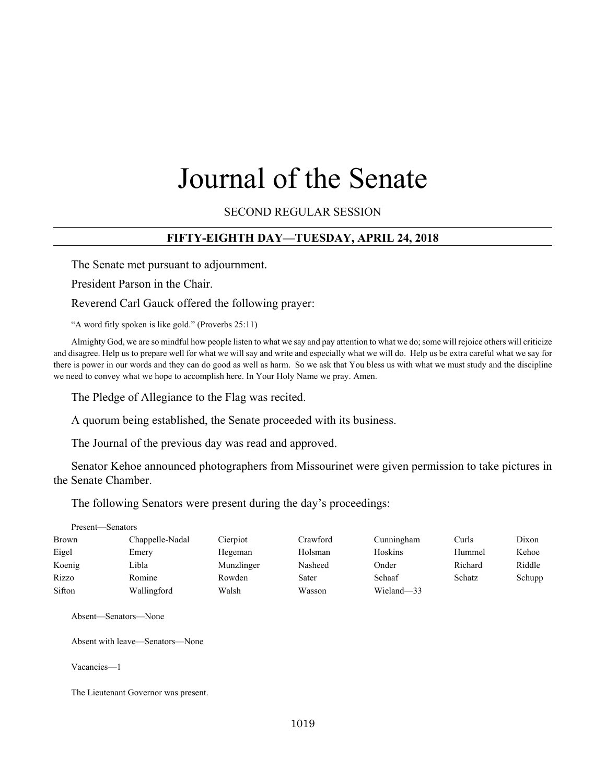# Journal of the Senate

SECOND REGULAR SESSION

### **FIFTY-EIGHTH DAY—TUESDAY, APRIL 24, 2018**

The Senate met pursuant to adjournment.

President Parson in the Chair.

Reverend Carl Gauck offered the following prayer:

"A word fitly spoken is like gold." (Proverbs 25:11)

Almighty God, we are so mindful how people listen to what we say and pay attention to what we do; some will rejoice others will criticize and disagree. Help us to prepare well for what we will say and write and especially what we will do. Help us be extra careful what we say for there is power in our words and they can do good as well as harm. So we ask that You bless us with what we must study and the discipline we need to convey what we hope to accomplish here. In Your Holy Name we pray. Amen.

The Pledge of Allegiance to the Flag was recited.

A quorum being established, the Senate proceeded with its business.

The Journal of the previous day was read and approved.

Senator Kehoe announced photographers from Missourinet were given permission to take pictures in the Senate Chamber.

The following Senators were present during the day's proceedings:

| Present—Senators |                 |            |          |            |         |        |
|------------------|-----------------|------------|----------|------------|---------|--------|
| Brown            | Chappelle-Nadal | Cierpiot   | Crawford | Cunningham | Curls   | Dixon  |
| Eigel            | Emery           | Hegeman    | Holsman  | Hoskins    | Hummel  | Kehoe  |
| Koenig           | Libla           | Munzlinger | Nasheed  | Onder      | Richard | Riddle |
| Rizzo            | Romine          | Rowden     | Sater    | Schaaf     | Schatz  | Schupp |
| Sifton           | Wallingford     | Walsh      | Wasson   | Wieland-33 |         |        |

Absent—Senators—None

Absent with leave—Senators—None

Vacancies—1

The Lieutenant Governor was present.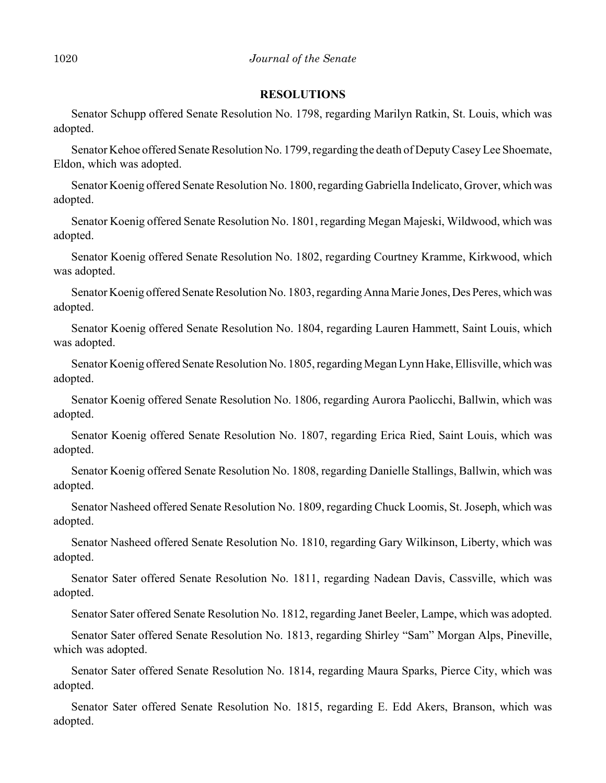#### **RESOLUTIONS**

Senator Schupp offered Senate Resolution No. 1798, regarding Marilyn Ratkin, St. Louis, which was adopted.

Senator Kehoe offered Senate Resolution No. 1799, regarding the death of Deputy Casey Lee Shoemate, Eldon, which was adopted.

Senator Koenig offered Senate Resolution No. 1800, regarding Gabriella Indelicato, Grover, which was adopted.

Senator Koenig offered Senate Resolution No. 1801, regarding Megan Majeski, Wildwood, which was adopted.

Senator Koenig offered Senate Resolution No. 1802, regarding Courtney Kramme, Kirkwood, which was adopted.

Senator Koenig offered Senate Resolution No. 1803, regarding Anna Marie Jones, Des Peres, which was adopted.

Senator Koenig offered Senate Resolution No. 1804, regarding Lauren Hammett, Saint Louis, which was adopted.

Senator Koenig offered Senate Resolution No. 1805, regarding Megan Lynn Hake, Ellisville, which was adopted.

Senator Koenig offered Senate Resolution No. 1806, regarding Aurora Paolicchi, Ballwin, which was adopted.

Senator Koenig offered Senate Resolution No. 1807, regarding Erica Ried, Saint Louis, which was adopted.

Senator Koenig offered Senate Resolution No. 1808, regarding Danielle Stallings, Ballwin, which was adopted.

Senator Nasheed offered Senate Resolution No. 1809, regarding Chuck Loomis, St. Joseph, which was adopted.

Senator Nasheed offered Senate Resolution No. 1810, regarding Gary Wilkinson, Liberty, which was adopted.

Senator Sater offered Senate Resolution No. 1811, regarding Nadean Davis, Cassville, which was adopted.

Senator Sater offered Senate Resolution No. 1812, regarding Janet Beeler, Lampe, which was adopted.

Senator Sater offered Senate Resolution No. 1813, regarding Shirley "Sam" Morgan Alps, Pineville, which was adopted.

Senator Sater offered Senate Resolution No. 1814, regarding Maura Sparks, Pierce City, which was adopted.

Senator Sater offered Senate Resolution No. 1815, regarding E. Edd Akers, Branson, which was adopted.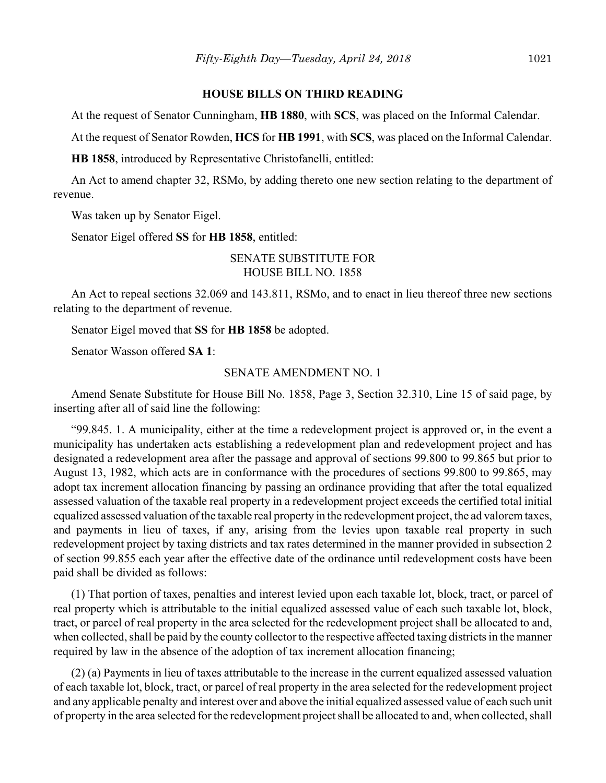#### **HOUSE BILLS ON THIRD READING**

At the request of Senator Cunningham, **HB 1880**, with **SCS**, was placed on the Informal Calendar.

At the request of Senator Rowden, **HCS** for **HB 1991**, with **SCS**, was placed on the Informal Calendar.

**HB 1858**, introduced by Representative Christofanelli, entitled:

An Act to amend chapter 32, RSMo, by adding thereto one new section relating to the department of revenue.

Was taken up by Senator Eigel.

Senator Eigel offered **SS** for **HB 1858**, entitled:

SENATE SUBSTITUTE FOR HOUSE BILL NO. 1858

An Act to repeal sections 32.069 and 143.811, RSMo, and to enact in lieu thereof three new sections relating to the department of revenue.

Senator Eigel moved that **SS** for **HB 1858** be adopted.

Senator Wasson offered **SA 1**:

#### SENATE AMENDMENT NO. 1

Amend Senate Substitute for House Bill No. 1858, Page 3, Section 32.310, Line 15 of said page, by inserting after all of said line the following:

"99.845. 1. A municipality, either at the time a redevelopment project is approved or, in the event a municipality has undertaken acts establishing a redevelopment plan and redevelopment project and has designated a redevelopment area after the passage and approval of sections 99.800 to 99.865 but prior to August 13, 1982, which acts are in conformance with the procedures of sections 99.800 to 99.865, may adopt tax increment allocation financing by passing an ordinance providing that after the total equalized assessed valuation of the taxable real property in a redevelopment project exceeds the certified total initial equalized assessed valuation of the taxable real property in the redevelopment project, the ad valorem taxes, and payments in lieu of taxes, if any, arising from the levies upon taxable real property in such redevelopment project by taxing districts and tax rates determined in the manner provided in subsection 2 of section 99.855 each year after the effective date of the ordinance until redevelopment costs have been paid shall be divided as follows:

(1) That portion of taxes, penalties and interest levied upon each taxable lot, block, tract, or parcel of real property which is attributable to the initial equalized assessed value of each such taxable lot, block, tract, or parcel of real property in the area selected for the redevelopment project shall be allocated to and, when collected, shall be paid by the county collector to the respective affected taxing districts in the manner required by law in the absence of the adoption of tax increment allocation financing;

(2) (a) Payments in lieu of taxes attributable to the increase in the current equalized assessed valuation of each taxable lot, block, tract, or parcel of real property in the area selected for the redevelopment project and any applicable penalty and interest over and above the initial equalized assessed value of each such unit of property in the area selected for the redevelopment project shall be allocated to and, when collected, shall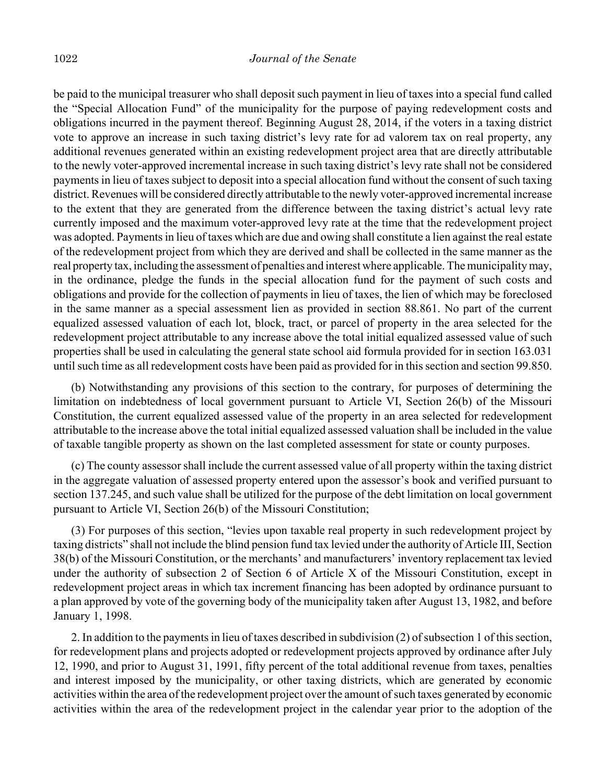be paid to the municipal treasurer who shall deposit such payment in lieu of taxes into a special fund called the "Special Allocation Fund" of the municipality for the purpose of paying redevelopment costs and obligations incurred in the payment thereof. Beginning August 28, 2014, if the voters in a taxing district vote to approve an increase in such taxing district's levy rate for ad valorem tax on real property, any additional revenues generated within an existing redevelopment project area that are directly attributable to the newly voter-approved incremental increase in such taxing district's levy rate shall not be considered payments in lieu of taxes subject to deposit into a special allocation fund without the consent of such taxing district. Revenues will be considered directly attributable to the newly voter-approved incremental increase to the extent that they are generated from the difference between the taxing district's actual levy rate currently imposed and the maximum voter-approved levy rate at the time that the redevelopment project was adopted. Payments in lieu of taxes which are due and owing shall constitute a lien against the real estate of the redevelopment project from which they are derived and shall be collected in the same manner as the real property tax, including the assessment of penalties and interest where applicable. The municipality may, in the ordinance, pledge the funds in the special allocation fund for the payment of such costs and obligations and provide for the collection of payments in lieu of taxes, the lien of which may be foreclosed in the same manner as a special assessment lien as provided in section 88.861. No part of the current equalized assessed valuation of each lot, block, tract, or parcel of property in the area selected for the redevelopment project attributable to any increase above the total initial equalized assessed value of such properties shall be used in calculating the general state school aid formula provided for in section 163.031 until such time as all redevelopment costs have been paid as provided for in this section and section 99.850.

(b) Notwithstanding any provisions of this section to the contrary, for purposes of determining the limitation on indebtedness of local government pursuant to Article VI, Section 26(b) of the Missouri Constitution, the current equalized assessed value of the property in an area selected for redevelopment attributable to the increase above the total initial equalized assessed valuation shall be included in the value of taxable tangible property as shown on the last completed assessment for state or county purposes.

(c) The county assessor shall include the current assessed value of all property within the taxing district in the aggregate valuation of assessed property entered upon the assessor's book and verified pursuant to section 137.245, and such value shall be utilized for the purpose of the debt limitation on local government pursuant to Article VI, Section 26(b) of the Missouri Constitution;

(3) For purposes of this section, "levies upon taxable real property in such redevelopment project by taxing districts" shall not include the blind pension fund tax levied under the authority of Article III, Section 38(b) of the Missouri Constitution, or the merchants' and manufacturers' inventory replacement tax levied under the authority of subsection 2 of Section 6 of Article X of the Missouri Constitution, except in redevelopment project areas in which tax increment financing has been adopted by ordinance pursuant to a plan approved by vote of the governing body of the municipality taken after August 13, 1982, and before January 1, 1998.

2. In addition to the payments in lieu of taxes described in subdivision (2) of subsection 1 of this section, for redevelopment plans and projects adopted or redevelopment projects approved by ordinance after July 12, 1990, and prior to August 31, 1991, fifty percent of the total additional revenue from taxes, penalties and interest imposed by the municipality, or other taxing districts, which are generated by economic activities within the area of the redevelopment project over the amount of such taxes generated by economic activities within the area of the redevelopment project in the calendar year prior to the adoption of the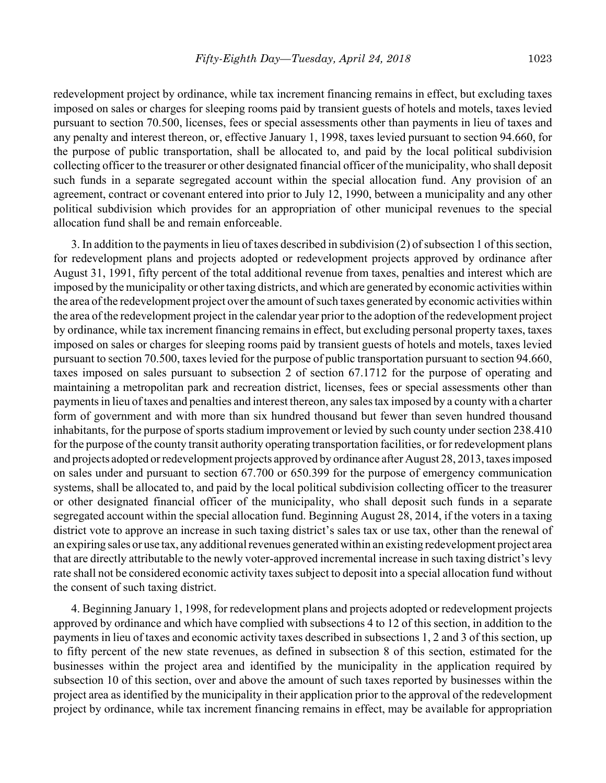redevelopment project by ordinance, while tax increment financing remains in effect, but excluding taxes imposed on sales or charges for sleeping rooms paid by transient guests of hotels and motels, taxes levied pursuant to section 70.500, licenses, fees or special assessments other than payments in lieu of taxes and any penalty and interest thereon, or, effective January 1, 1998, taxes levied pursuant to section 94.660, for the purpose of public transportation, shall be allocated to, and paid by the local political subdivision collecting officer to the treasurer or other designated financial officer of the municipality, who shall deposit such funds in a separate segregated account within the special allocation fund. Any provision of an agreement, contract or covenant entered into prior to July 12, 1990, between a municipality and any other political subdivision which provides for an appropriation of other municipal revenues to the special allocation fund shall be and remain enforceable.

3. In addition to the payments in lieu of taxes described in subdivision (2) of subsection 1 of this section, for redevelopment plans and projects adopted or redevelopment projects approved by ordinance after August 31, 1991, fifty percent of the total additional revenue from taxes, penalties and interest which are imposed by the municipality or other taxing districts, and which are generated by economic activities within the area of the redevelopment project over the amount of such taxes generated by economic activities within the area of the redevelopment project in the calendar year prior to the adoption of the redevelopment project by ordinance, while tax increment financing remains in effect, but excluding personal property taxes, taxes imposed on sales or charges for sleeping rooms paid by transient guests of hotels and motels, taxes levied pursuant to section 70.500, taxes levied for the purpose of public transportation pursuant to section 94.660, taxes imposed on sales pursuant to subsection 2 of section 67.1712 for the purpose of operating and maintaining a metropolitan park and recreation district, licenses, fees or special assessments other than payments in lieu of taxes and penalties and interest thereon, any sales tax imposed by a county with a charter form of government and with more than six hundred thousand but fewer than seven hundred thousand inhabitants, for the purpose of sports stadium improvement or levied by such county under section 238.410 for the purpose of the county transit authority operating transportation facilities, or for redevelopment plans and projects adopted or redevelopment projects approved by ordinance after August 28, 2013, taxes imposed on sales under and pursuant to section 67.700 or 650.399 for the purpose of emergency communication systems, shall be allocated to, and paid by the local political subdivision collecting officer to the treasurer or other designated financial officer of the municipality, who shall deposit such funds in a separate segregated account within the special allocation fund. Beginning August 28, 2014, if the voters in a taxing district vote to approve an increase in such taxing district's sales tax or use tax, other than the renewal of an expiring sales or use tax, any additional revenues generated within an existing redevelopment project area that are directly attributable to the newly voter-approved incremental increase in such taxing district's levy rate shall not be considered economic activity taxes subject to deposit into a special allocation fund without the consent of such taxing district.

4. Beginning January 1, 1998, for redevelopment plans and projects adopted or redevelopment projects approved by ordinance and which have complied with subsections 4 to 12 of this section, in addition to the payments in lieu of taxes and economic activity taxes described in subsections 1, 2 and 3 of this section, up to fifty percent of the new state revenues, as defined in subsection 8 of this section, estimated for the businesses within the project area and identified by the municipality in the application required by subsection 10 of this section, over and above the amount of such taxes reported by businesses within the project area as identified by the municipality in their application prior to the approval of the redevelopment project by ordinance, while tax increment financing remains in effect, may be available for appropriation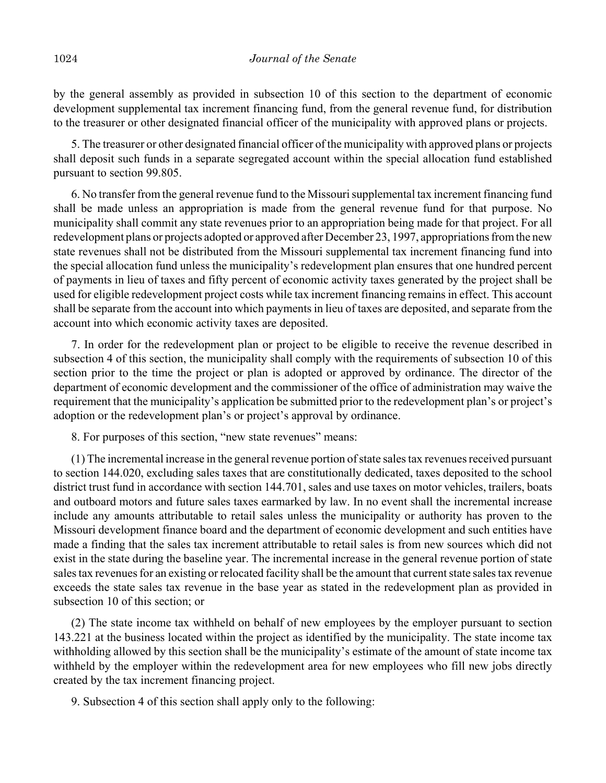by the general assembly as provided in subsection 10 of this section to the department of economic development supplemental tax increment financing fund, from the general revenue fund, for distribution to the treasurer or other designated financial officer of the municipality with approved plans or projects.

5. The treasurer or other designated financial officer of the municipality with approved plans or projects shall deposit such funds in a separate segregated account within the special allocation fund established pursuant to section 99.805.

6. No transfer from the general revenue fund to the Missouri supplemental tax increment financing fund shall be made unless an appropriation is made from the general revenue fund for that purpose. No municipality shall commit any state revenues prior to an appropriation being made for that project. For all redevelopment plans or projects adopted or approved after December 23, 1997, appropriations from the new state revenues shall not be distributed from the Missouri supplemental tax increment financing fund into the special allocation fund unless the municipality's redevelopment plan ensures that one hundred percent of payments in lieu of taxes and fifty percent of economic activity taxes generated by the project shall be used for eligible redevelopment project costs while tax increment financing remains in effect. This account shall be separate from the account into which payments in lieu of taxes are deposited, and separate from the account into which economic activity taxes are deposited.

7. In order for the redevelopment plan or project to be eligible to receive the revenue described in subsection 4 of this section, the municipality shall comply with the requirements of subsection 10 of this section prior to the time the project or plan is adopted or approved by ordinance. The director of the department of economic development and the commissioner of the office of administration may waive the requirement that the municipality's application be submitted prior to the redevelopment plan's or project's adoption or the redevelopment plan's or project's approval by ordinance.

8. For purposes of this section, "new state revenues" means:

(1) The incremental increase in the general revenue portion of state sales tax revenues received pursuant to section 144.020, excluding sales taxes that are constitutionally dedicated, taxes deposited to the school district trust fund in accordance with section 144.701, sales and use taxes on motor vehicles, trailers, boats and outboard motors and future sales taxes earmarked by law. In no event shall the incremental increase include any amounts attributable to retail sales unless the municipality or authority has proven to the Missouri development finance board and the department of economic development and such entities have made a finding that the sales tax increment attributable to retail sales is from new sources which did not exist in the state during the baseline year. The incremental increase in the general revenue portion of state sales tax revenues for an existing or relocated facility shall be the amount that current state sales tax revenue exceeds the state sales tax revenue in the base year as stated in the redevelopment plan as provided in subsection 10 of this section; or

(2) The state income tax withheld on behalf of new employees by the employer pursuant to section 143.221 at the business located within the project as identified by the municipality. The state income tax withholding allowed by this section shall be the municipality's estimate of the amount of state income tax withheld by the employer within the redevelopment area for new employees who fill new jobs directly created by the tax increment financing project.

9. Subsection 4 of this section shall apply only to the following: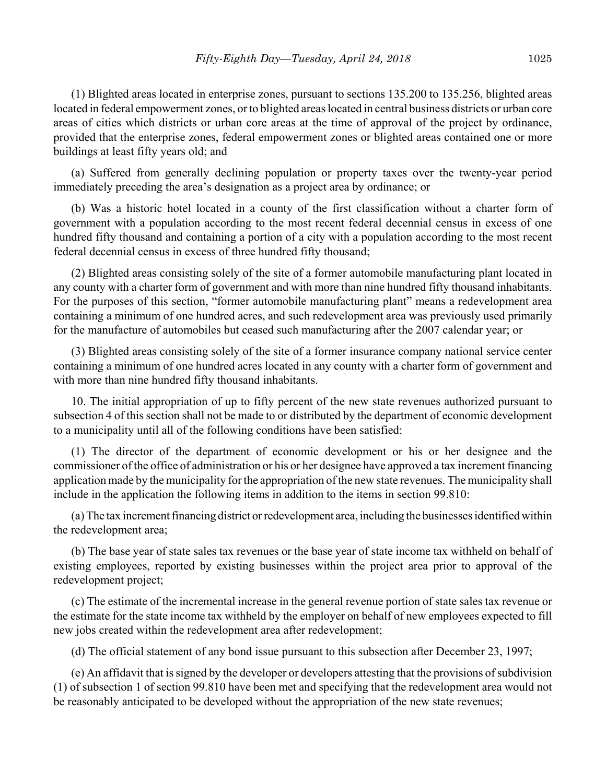(1) Blighted areas located in enterprise zones, pursuant to sections 135.200 to 135.256, blighted areas located in federal empowerment zones, or to blighted areas located in central business districts or urban core areas of cities which districts or urban core areas at the time of approval of the project by ordinance, provided that the enterprise zones, federal empowerment zones or blighted areas contained one or more buildings at least fifty years old; and

(a) Suffered from generally declining population or property taxes over the twenty-year period immediately preceding the area's designation as a project area by ordinance; or

(b) Was a historic hotel located in a county of the first classification without a charter form of government with a population according to the most recent federal decennial census in excess of one hundred fifty thousand and containing a portion of a city with a population according to the most recent federal decennial census in excess of three hundred fifty thousand;

(2) Blighted areas consisting solely of the site of a former automobile manufacturing plant located in any county with a charter form of government and with more than nine hundred fifty thousand inhabitants. For the purposes of this section, "former automobile manufacturing plant" means a redevelopment area containing a minimum of one hundred acres, and such redevelopment area was previously used primarily for the manufacture of automobiles but ceased such manufacturing after the 2007 calendar year; or

(3) Blighted areas consisting solely of the site of a former insurance company national service center containing a minimum of one hundred acres located in any county with a charter form of government and with more than nine hundred fifty thousand inhabitants.

10. The initial appropriation of up to fifty percent of the new state revenues authorized pursuant to subsection 4 of this section shall not be made to or distributed by the department of economic development to a municipality until all of the following conditions have been satisfied:

(1) The director of the department of economic development or his or her designee and the commissioner of the office of administration or his or her designee have approved a tax increment financing application made by the municipality for the appropriation of the new state revenues. The municipality shall include in the application the following items in addition to the items in section 99.810:

(a) The tax increment financing district or redevelopment area, including the businesses identified within the redevelopment area;

(b) The base year of state sales tax revenues or the base year of state income tax withheld on behalf of existing employees, reported by existing businesses within the project area prior to approval of the redevelopment project;

(c) The estimate of the incremental increase in the general revenue portion of state sales tax revenue or the estimate for the state income tax withheld by the employer on behalf of new employees expected to fill new jobs created within the redevelopment area after redevelopment;

(d) The official statement of any bond issue pursuant to this subsection after December 23, 1997;

(e) An affidavit that is signed by the developer or developers attesting that the provisions of subdivision (1) of subsection 1 of section 99.810 have been met and specifying that the redevelopment area would not be reasonably anticipated to be developed without the appropriation of the new state revenues;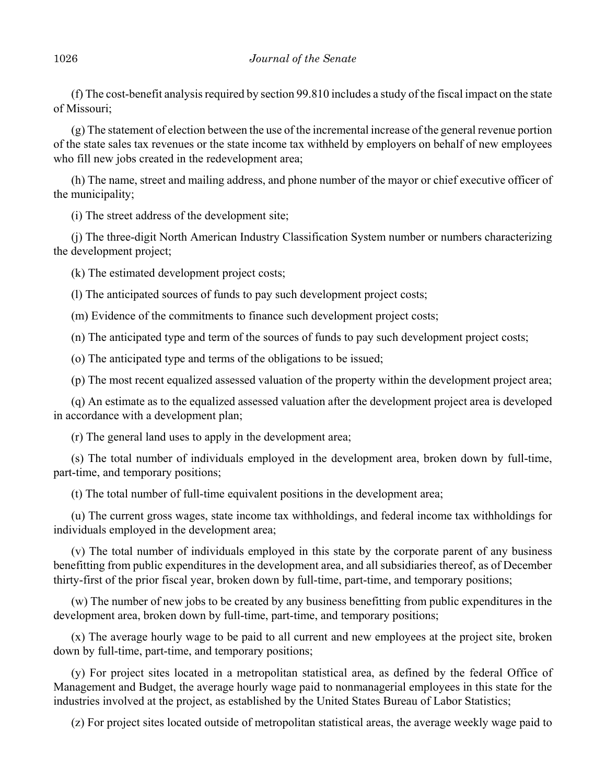(f) The cost-benefit analysis required by section 99.810 includes a study of the fiscal impact on the state of Missouri;

(g) The statement of election between the use of the incremental increase of the general revenue portion of the state sales tax revenues or the state income tax withheld by employers on behalf of new employees who fill new jobs created in the redevelopment area;

(h) The name, street and mailing address, and phone number of the mayor or chief executive officer of the municipality;

(i) The street address of the development site;

(j) The three-digit North American Industry Classification System number or numbers characterizing the development project;

(k) The estimated development project costs;

(l) The anticipated sources of funds to pay such development project costs;

(m) Evidence of the commitments to finance such development project costs;

(n) The anticipated type and term of the sources of funds to pay such development project costs;

(o) The anticipated type and terms of the obligations to be issued;

(p) The most recent equalized assessed valuation of the property within the development project area;

(q) An estimate as to the equalized assessed valuation after the development project area is developed in accordance with a development plan;

(r) The general land uses to apply in the development area;

(s) The total number of individuals employed in the development area, broken down by full-time, part-time, and temporary positions;

(t) The total number of full-time equivalent positions in the development area;

(u) The current gross wages, state income tax withholdings, and federal income tax withholdings for individuals employed in the development area;

(v) The total number of individuals employed in this state by the corporate parent of any business benefitting from public expenditures in the development area, and all subsidiaries thereof, as of December thirty-first of the prior fiscal year, broken down by full-time, part-time, and temporary positions;

(w) The number of new jobs to be created by any business benefitting from public expenditures in the development area, broken down by full-time, part-time, and temporary positions;

(x) The average hourly wage to be paid to all current and new employees at the project site, broken down by full-time, part-time, and temporary positions;

(y) For project sites located in a metropolitan statistical area, as defined by the federal Office of Management and Budget, the average hourly wage paid to nonmanagerial employees in this state for the industries involved at the project, as established by the United States Bureau of Labor Statistics;

(z) For project sites located outside of metropolitan statistical areas, the average weekly wage paid to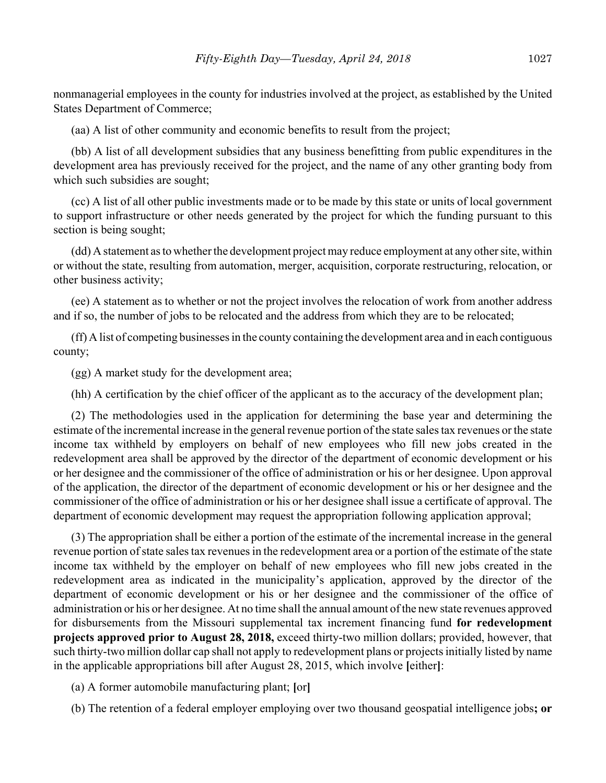nonmanagerial employees in the county for industries involved at the project, as established by the United States Department of Commerce;

(aa) A list of other community and economic benefits to result from the project;

(bb) A list of all development subsidies that any business benefitting from public expenditures in the development area has previously received for the project, and the name of any other granting body from which such subsidies are sought;

(cc) A list of all other public investments made or to be made by this state or units of local government to support infrastructure or other needs generated by the project for which the funding pursuant to this section is being sought;

(dd) A statement as to whether the development project may reduce employment at any other site, within or without the state, resulting from automation, merger, acquisition, corporate restructuring, relocation, or other business activity;

(ee) A statement as to whether or not the project involves the relocation of work from another address and if so, the number of jobs to be relocated and the address from which they are to be relocated;

(ff) A list of competing businesses in the county containing the development area and in each contiguous county;

(gg) A market study for the development area;

(hh) A certification by the chief officer of the applicant as to the accuracy of the development plan;

(2) The methodologies used in the application for determining the base year and determining the estimate of the incremental increase in the general revenue portion of the state sales tax revenues or the state income tax withheld by employers on behalf of new employees who fill new jobs created in the redevelopment area shall be approved by the director of the department of economic development or his or her designee and the commissioner of the office of administration or his or her designee. Upon approval of the application, the director of the department of economic development or his or her designee and the commissioner of the office of administration or his or her designee shall issue a certificate of approval. The department of economic development may request the appropriation following application approval;

(3) The appropriation shall be either a portion of the estimate of the incremental increase in the general revenue portion of state sales tax revenues in the redevelopment area or a portion of the estimate of the state income tax withheld by the employer on behalf of new employees who fill new jobs created in the redevelopment area as indicated in the municipality's application, approved by the director of the department of economic development or his or her designee and the commissioner of the office of administration or his or her designee. At no time shall the annual amount of the new state revenues approved for disbursements from the Missouri supplemental tax increment financing fund **for redevelopment projects approved prior to August 28, 2018,** exceed thirty-two million dollars; provided, however, that such thirty-two million dollar cap shall not apply to redevelopment plans or projects initially listed by name in the applicable appropriations bill after August 28, 2015, which involve **[**either**]**:

(a) A former automobile manufacturing plant; **[**or**]**

(b) The retention of a federal employer employing over two thousand geospatial intelligence jobs**; or**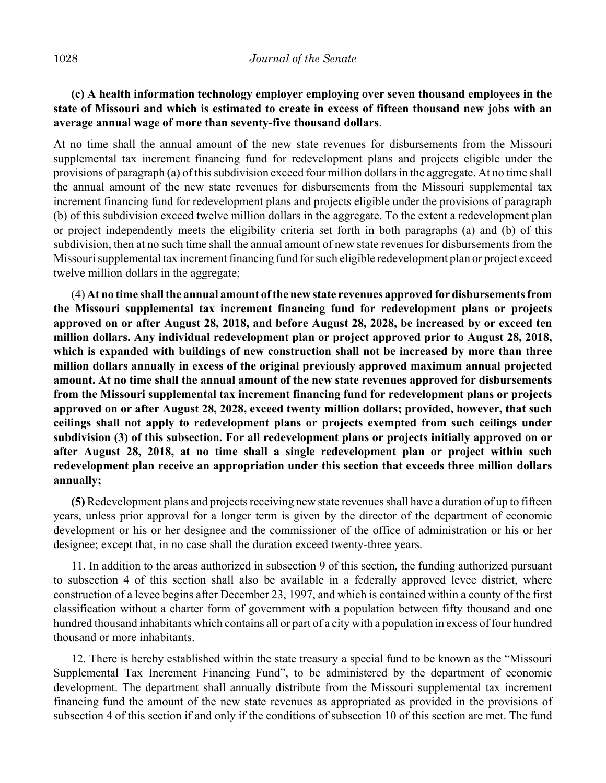# **(c) A health information technology employer employing over seven thousand employees in the state of Missouri and which is estimated to create in excess of fifteen thousand new jobs with an average annual wage of more than seventy-five thousand dollars**.

At no time shall the annual amount of the new state revenues for disbursements from the Missouri supplemental tax increment financing fund for redevelopment plans and projects eligible under the provisions of paragraph (a) of this subdivision exceed four million dollars in the aggregate. At no time shall the annual amount of the new state revenues for disbursements from the Missouri supplemental tax increment financing fund for redevelopment plans and projects eligible under the provisions of paragraph (b) of this subdivision exceed twelve million dollars in the aggregate. To the extent a redevelopment plan or project independently meets the eligibility criteria set forth in both paragraphs (a) and (b) of this subdivision, then at no such time shall the annual amount of new state revenues for disbursements from the Missouri supplemental tax increment financing fund for such eligible redevelopment plan or project exceed twelve million dollars in the aggregate;

(4) **At no time shall the annual amount of the new state revenues approved for disbursements from the Missouri supplemental tax increment financing fund for redevelopment plans or projects approved on or after August 28, 2018, and before August 28, 2028, be increased by or exceed ten million dollars. Any individual redevelopment plan or project approved prior to August 28, 2018, which is expanded with buildings of new construction shall not be increased by more than three million dollars annually in excess of the original previously approved maximum annual projected amount. At no time shall the annual amount of the new state revenues approved for disbursements from the Missouri supplemental tax increment financing fund for redevelopment plans or projects approved on or after August 28, 2028, exceed twenty million dollars; provided, however, that such ceilings shall not apply to redevelopment plans or projects exempted from such ceilings under subdivision (3) of this subsection. For all redevelopment plans or projects initially approved on or after August 28, 2018, at no time shall a single redevelopment plan or project within such redevelopment plan receive an appropriation under this section that exceeds three million dollars annually;**

**(5)** Redevelopment plans and projects receiving new state revenues shall have a duration of up to fifteen years, unless prior approval for a longer term is given by the director of the department of economic development or his or her designee and the commissioner of the office of administration or his or her designee; except that, in no case shall the duration exceed twenty-three years.

11. In addition to the areas authorized in subsection 9 of this section, the funding authorized pursuant to subsection 4 of this section shall also be available in a federally approved levee district, where construction of a levee begins after December 23, 1997, and which is contained within a county of the first classification without a charter form of government with a population between fifty thousand and one hundred thousand inhabitants which contains all or part of a city with a population in excess of four hundred thousand or more inhabitants.

12. There is hereby established within the state treasury a special fund to be known as the "Missouri Supplemental Tax Increment Financing Fund", to be administered by the department of economic development. The department shall annually distribute from the Missouri supplemental tax increment financing fund the amount of the new state revenues as appropriated as provided in the provisions of subsection 4 of this section if and only if the conditions of subsection 10 of this section are met. The fund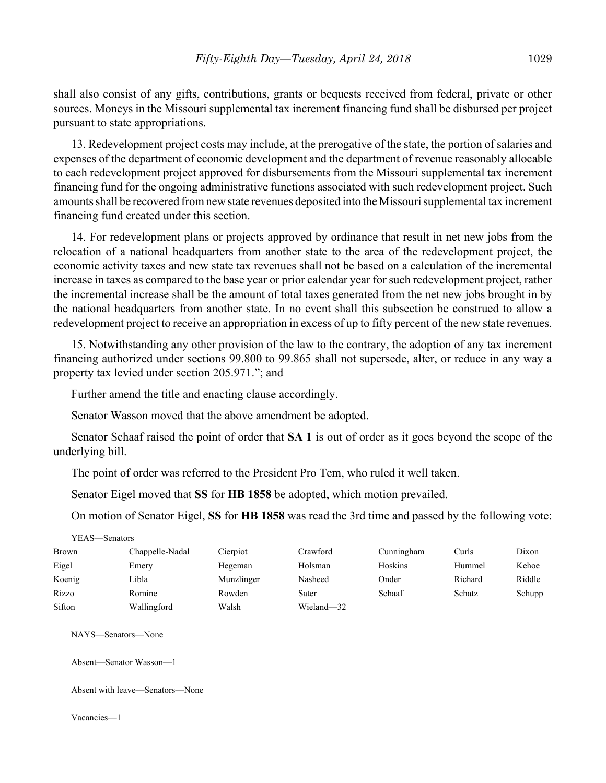shall also consist of any gifts, contributions, grants or bequests received from federal, private or other sources. Moneys in the Missouri supplemental tax increment financing fund shall be disbursed per project pursuant to state appropriations.

13. Redevelopment project costs may include, at the prerogative of the state, the portion of salaries and expenses of the department of economic development and the department of revenue reasonably allocable to each redevelopment project approved for disbursements from the Missouri supplemental tax increment financing fund for the ongoing administrative functions associated with such redevelopment project. Such amounts shall be recovered from new state revenues deposited into the Missouri supplemental tax increment financing fund created under this section.

14. For redevelopment plans or projects approved by ordinance that result in net new jobs from the relocation of a national headquarters from another state to the area of the redevelopment project, the economic activity taxes and new state tax revenues shall not be based on a calculation of the incremental increase in taxes as compared to the base year or prior calendar year for such redevelopment project, rather the incremental increase shall be the amount of total taxes generated from the net new jobs brought in by the national headquarters from another state. In no event shall this subsection be construed to allow a redevelopment project to receive an appropriation in excess of up to fifty percent of the new state revenues.

15. Notwithstanding any other provision of the law to the contrary, the adoption of any tax increment financing authorized under sections 99.800 to 99.865 shall not supersede, alter, or reduce in any way a property tax levied under section 205.971."; and

Further amend the title and enacting clause accordingly.

Senator Wasson moved that the above amendment be adopted.

Senator Schaaf raised the point of order that **SA 1** is out of order as it goes beyond the scope of the underlying bill.

The point of order was referred to the President Pro Tem, who ruled it well taken.

Senator Eigel moved that **SS** for **HB 1858** be adopted, which motion prevailed.

On motion of Senator Eigel, **SS** for **HB 1858** was read the 3rd time and passed by the following vote:

| YEAS—Senators |                 |            |            |            |         |        |
|---------------|-----------------|------------|------------|------------|---------|--------|
| Brown         | Chappelle-Nadal | Cierpiot   | Crawford   | Cunningham | Curls   | Dixon  |
| Eigel         | Emery           | Hegeman    | Holsman    | Hoskins    | Hummel  | Kehoe  |
| Koenig        | Libla           | Munzlinger | Nasheed    | Onder      | Richard | Riddle |
| Rizzo         | Romine          | Rowden     | Sater      | Schaaf     | Schatz  | Schupp |
| Sifton        | Wallingford     | Walsh      | Wieland-32 |            |         |        |

NAYS—Senators—None

Absent—Senator Wasson—1

Absent with leave—Senators—None

Vacancies—1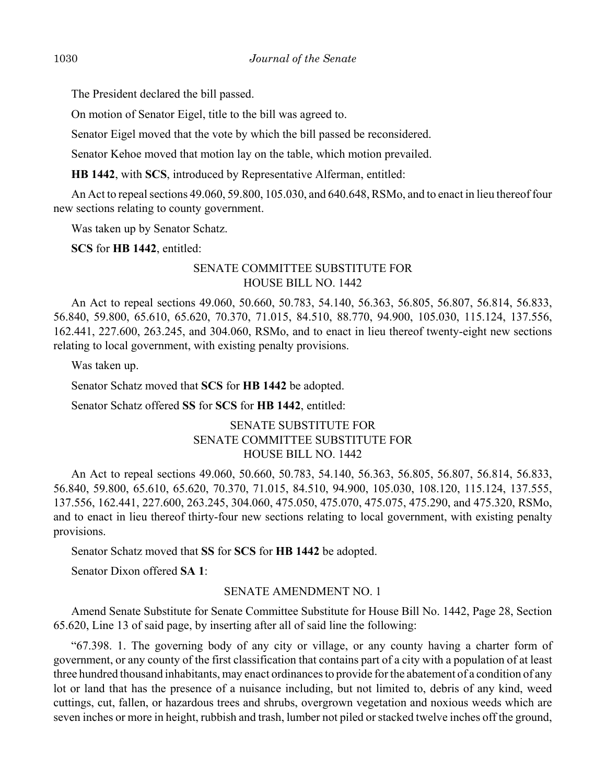The President declared the bill passed.

On motion of Senator Eigel, title to the bill was agreed to.

Senator Eigel moved that the vote by which the bill passed be reconsidered.

Senator Kehoe moved that motion lay on the table, which motion prevailed.

**HB 1442**, with **SCS**, introduced by Representative Alferman, entitled:

An Act to repeal sections 49.060, 59.800, 105.030, and 640.648, RSMo, and to enact in lieu thereof four new sections relating to county government.

Was taken up by Senator Schatz.

**SCS** for **HB 1442**, entitled:

# SENATE COMMITTEE SUBSTITUTE FOR HOUSE BILL NO. 1442

An Act to repeal sections 49.060, 50.660, 50.783, 54.140, 56.363, 56.805, 56.807, 56.814, 56.833, 56.840, 59.800, 65.610, 65.620, 70.370, 71.015, 84.510, 88.770, 94.900, 105.030, 115.124, 137.556, 162.441, 227.600, 263.245, and 304.060, RSMo, and to enact in lieu thereof twenty-eight new sections relating to local government, with existing penalty provisions.

Was taken up.

Senator Schatz moved that **SCS** for **HB 1442** be adopted.

Senator Schatz offered **SS** for **SCS** for **HB 1442**, entitled:

# SENATE SUBSTITUTE FOR SENATE COMMITTEE SUBSTITUTE FOR HOUSE BILL NO. 1442

An Act to repeal sections 49.060, 50.660, 50.783, 54.140, 56.363, 56.805, 56.807, 56.814, 56.833, 56.840, 59.800, 65.610, 65.620, 70.370, 71.015, 84.510, 94.900, 105.030, 108.120, 115.124, 137.555, 137.556, 162.441, 227.600, 263.245, 304.060, 475.050, 475.070, 475.075, 475.290, and 475.320, RSMo, and to enact in lieu thereof thirty-four new sections relating to local government, with existing penalty provisions.

Senator Schatz moved that **SS** for **SCS** for **HB 1442** be adopted.

Senator Dixon offered **SA 1**:

### SENATE AMENDMENT NO. 1

Amend Senate Substitute for Senate Committee Substitute for House Bill No. 1442, Page 28, Section 65.620, Line 13 of said page, by inserting after all of said line the following:

"67.398. 1. The governing body of any city or village, or any county having a charter form of government, or any county of the first classification that contains part of a city with a population of at least three hundred thousand inhabitants, may enact ordinances to provide for the abatement of a condition of any lot or land that has the presence of a nuisance including, but not limited to, debris of any kind, weed cuttings, cut, fallen, or hazardous trees and shrubs, overgrown vegetation and noxious weeds which are seven inches or more in height, rubbish and trash, lumber not piled or stacked twelve inches off the ground,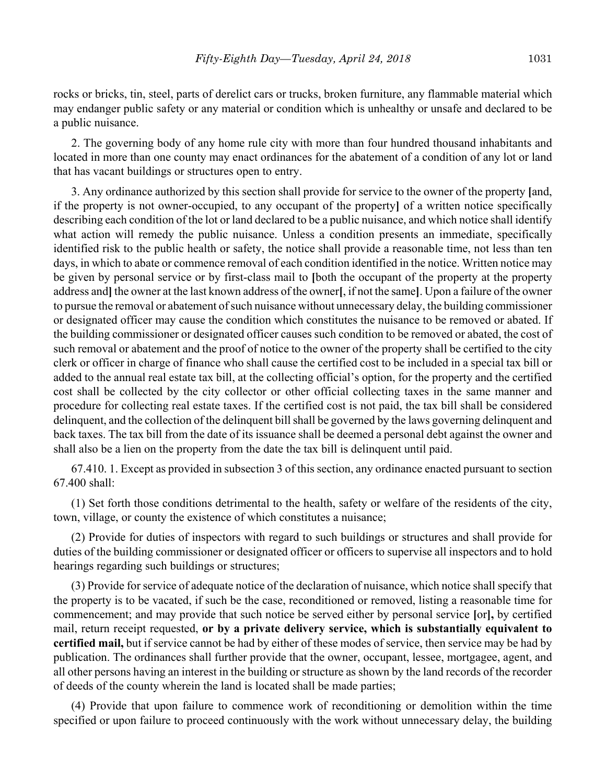rocks or bricks, tin, steel, parts of derelict cars or trucks, broken furniture, any flammable material which may endanger public safety or any material or condition which is unhealthy or unsafe and declared to be a public nuisance.

2. The governing body of any home rule city with more than four hundred thousand inhabitants and located in more than one county may enact ordinances for the abatement of a condition of any lot or land that has vacant buildings or structures open to entry.

3. Any ordinance authorized by this section shall provide for service to the owner of the property **[**and, if the property is not owner-occupied, to any occupant of the property**]** of a written notice specifically describing each condition of the lot or land declared to be a public nuisance, and which notice shall identify what action will remedy the public nuisance. Unless a condition presents an immediate, specifically identified risk to the public health or safety, the notice shall provide a reasonable time, not less than ten days, in which to abate or commence removal of each condition identified in the notice. Written notice may be given by personal service or by first-class mail to **[**both the occupant of the property at the property address and**]** the owner at the last known address of the owner**[**, if not the same**]**. Upon a failure of the owner to pursue the removal or abatement of such nuisance without unnecessary delay, the building commissioner or designated officer may cause the condition which constitutes the nuisance to be removed or abated. If the building commissioner or designated officer causes such condition to be removed or abated, the cost of such removal or abatement and the proof of notice to the owner of the property shall be certified to the city clerk or officer in charge of finance who shall cause the certified cost to be included in a special tax bill or added to the annual real estate tax bill, at the collecting official's option, for the property and the certified cost shall be collected by the city collector or other official collecting taxes in the same manner and procedure for collecting real estate taxes. If the certified cost is not paid, the tax bill shall be considered delinquent, and the collection of the delinquent bill shall be governed by the laws governing delinquent and back taxes. The tax bill from the date of its issuance shall be deemed a personal debt against the owner and shall also be a lien on the property from the date the tax bill is delinquent until paid.

67.410. 1. Except as provided in subsection 3 of this section, any ordinance enacted pursuant to section 67.400 shall:

(1) Set forth those conditions detrimental to the health, safety or welfare of the residents of the city, town, village, or county the existence of which constitutes a nuisance;

(2) Provide for duties of inspectors with regard to such buildings or structures and shall provide for duties of the building commissioner or designated officer or officers to supervise all inspectors and to hold hearings regarding such buildings or structures;

(3) Provide for service of adequate notice of the declaration of nuisance, which notice shall specify that the property is to be vacated, if such be the case, reconditioned or removed, listing a reasonable time for commencement; and may provide that such notice be served either by personal service **[**or**],** by certified mail, return receipt requested, **or by a private delivery service, which is substantially equivalent to certified mail,** but if service cannot be had by either of these modes of service, then service may be had by publication. The ordinances shall further provide that the owner, occupant, lessee, mortgagee, agent, and all other persons having an interest in the building or structure as shown by the land records of the recorder of deeds of the county wherein the land is located shall be made parties;

(4) Provide that upon failure to commence work of reconditioning or demolition within the time specified or upon failure to proceed continuously with the work without unnecessary delay, the building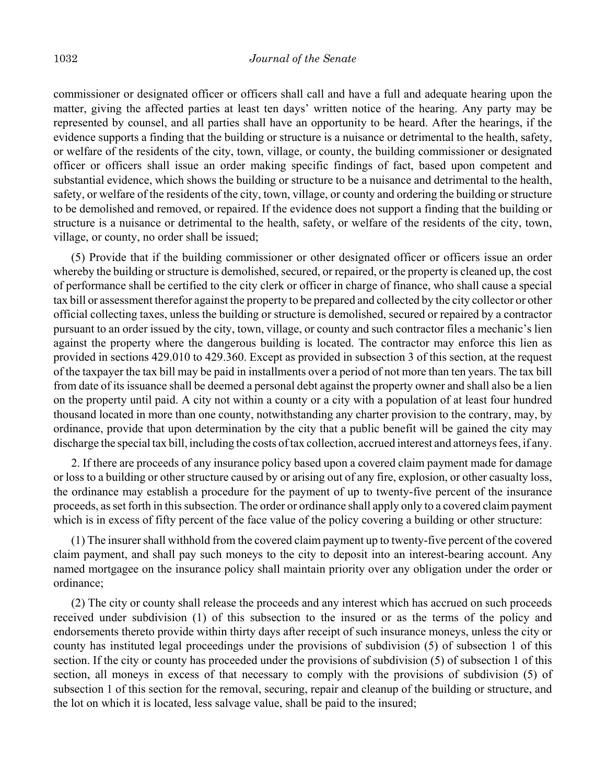commissioner or designated officer or officers shall call and have a full and adequate hearing upon the matter, giving the affected parties at least ten days' written notice of the hearing. Any party may be represented by counsel, and all parties shall have an opportunity to be heard. After the hearings, if the evidence supports a finding that the building or structure is a nuisance or detrimental to the health, safety, or welfare of the residents of the city, town, village, or county, the building commissioner or designated officer or officers shall issue an order making specific findings of fact, based upon competent and substantial evidence, which shows the building or structure to be a nuisance and detrimental to the health, safety, or welfare of the residents of the city, town, village, or county and ordering the building or structure to be demolished and removed, or repaired. If the evidence does not support a finding that the building or structure is a nuisance or detrimental to the health, safety, or welfare of the residents of the city, town, village, or county, no order shall be issued;

(5) Provide that if the building commissioner or other designated officer or officers issue an order whereby the building or structure is demolished, secured, or repaired, or the property is cleaned up, the cost of performance shall be certified to the city clerk or officer in charge of finance, who shall cause a special tax bill or assessment therefor against the property to be prepared and collected by the city collector or other official collecting taxes, unless the building or structure is demolished, secured or repaired by a contractor pursuant to an order issued by the city, town, village, or county and such contractor files a mechanic's lien against the property where the dangerous building is located. The contractor may enforce this lien as provided in sections 429.010 to 429.360. Except as provided in subsection 3 of this section, at the request of the taxpayer the tax bill may be paid in installments over a period of not more than ten years. The tax bill from date of its issuance shall be deemed a personal debt against the property owner and shall also be a lien on the property until paid. A city not within a county or a city with a population of at least four hundred thousand located in more than one county, notwithstanding any charter provision to the contrary, may, by ordinance, provide that upon determination by the city that a public benefit will be gained the city may discharge the special tax bill, including the costs of tax collection, accrued interest and attorneys fees, if any.

2. If there are proceeds of any insurance policy based upon a covered claim payment made for damage or loss to a building or other structure caused by or arising out of any fire, explosion, or other casualty loss, the ordinance may establish a procedure for the payment of up to twenty-five percent of the insurance proceeds, as set forth in this subsection. The order or ordinance shall apply only to a covered claim payment which is in excess of fifty percent of the face value of the policy covering a building or other structure:

(1) The insurer shall withhold from the covered claim payment up to twenty-five percent of the covered claim payment, and shall pay such moneys to the city to deposit into an interest-bearing account. Any named mortgagee on the insurance policy shall maintain priority over any obligation under the order or ordinance;

(2) The city or county shall release the proceeds and any interest which has accrued on such proceeds received under subdivision (1) of this subsection to the insured or as the terms of the policy and endorsements thereto provide within thirty days after receipt of such insurance moneys, unless the city or county has instituted legal proceedings under the provisions of subdivision (5) of subsection 1 of this section. If the city or county has proceeded under the provisions of subdivision (5) of subsection 1 of this section, all moneys in excess of that necessary to comply with the provisions of subdivision (5) of subsection 1 of this section for the removal, securing, repair and cleanup of the building or structure, and the lot on which it is located, less salvage value, shall be paid to the insured;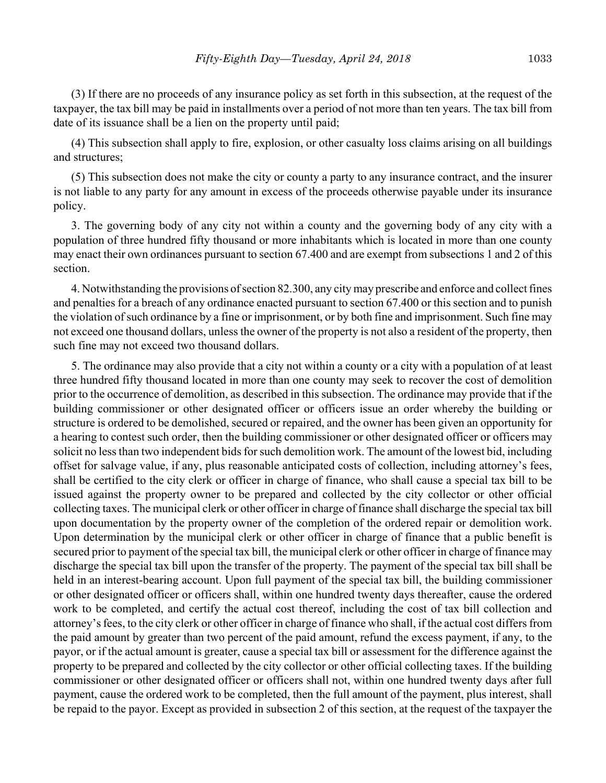(3) If there are no proceeds of any insurance policy as set forth in this subsection, at the request of the taxpayer, the tax bill may be paid in installments over a period of not more than ten years. The tax bill from date of its issuance shall be a lien on the property until paid;

(4) This subsection shall apply to fire, explosion, or other casualty loss claims arising on all buildings and structures;

(5) This subsection does not make the city or county a party to any insurance contract, and the insurer is not liable to any party for any amount in excess of the proceeds otherwise payable under its insurance policy.

3. The governing body of any city not within a county and the governing body of any city with a population of three hundred fifty thousand or more inhabitants which is located in more than one county may enact their own ordinances pursuant to section 67.400 and are exempt from subsections 1 and 2 of this section.

4. Notwithstanding the provisions of section 82.300, any city may prescribe and enforce and collect fines and penalties for a breach of any ordinance enacted pursuant to section 67.400 or this section and to punish the violation of such ordinance by a fine or imprisonment, or by both fine and imprisonment. Such fine may not exceed one thousand dollars, unless the owner of the property is not also a resident of the property, then such fine may not exceed two thousand dollars.

5. The ordinance may also provide that a city not within a county or a city with a population of at least three hundred fifty thousand located in more than one county may seek to recover the cost of demolition prior to the occurrence of demolition, as described in this subsection. The ordinance may provide that if the building commissioner or other designated officer or officers issue an order whereby the building or structure is ordered to be demolished, secured or repaired, and the owner has been given an opportunity for a hearing to contest such order, then the building commissioner or other designated officer or officers may solicit no less than two independent bids for such demolition work. The amount of the lowest bid, including offset for salvage value, if any, plus reasonable anticipated costs of collection, including attorney's fees, shall be certified to the city clerk or officer in charge of finance, who shall cause a special tax bill to be issued against the property owner to be prepared and collected by the city collector or other official collecting taxes. The municipal clerk or other officer in charge of finance shall discharge the special tax bill upon documentation by the property owner of the completion of the ordered repair or demolition work. Upon determination by the municipal clerk or other officer in charge of finance that a public benefit is secured prior to payment of the special tax bill, the municipal clerk or other officer in charge of finance may discharge the special tax bill upon the transfer of the property. The payment of the special tax bill shall be held in an interest-bearing account. Upon full payment of the special tax bill, the building commissioner or other designated officer or officers shall, within one hundred twenty days thereafter, cause the ordered work to be completed, and certify the actual cost thereof, including the cost of tax bill collection and attorney's fees, to the city clerk or other officer in charge of finance who shall, if the actual cost differs from the paid amount by greater than two percent of the paid amount, refund the excess payment, if any, to the payor, or if the actual amount is greater, cause a special tax bill or assessment for the difference against the property to be prepared and collected by the city collector or other official collecting taxes. If the building commissioner or other designated officer or officers shall not, within one hundred twenty days after full payment, cause the ordered work to be completed, then the full amount of the payment, plus interest, shall be repaid to the payor. Except as provided in subsection 2 of this section, at the request of the taxpayer the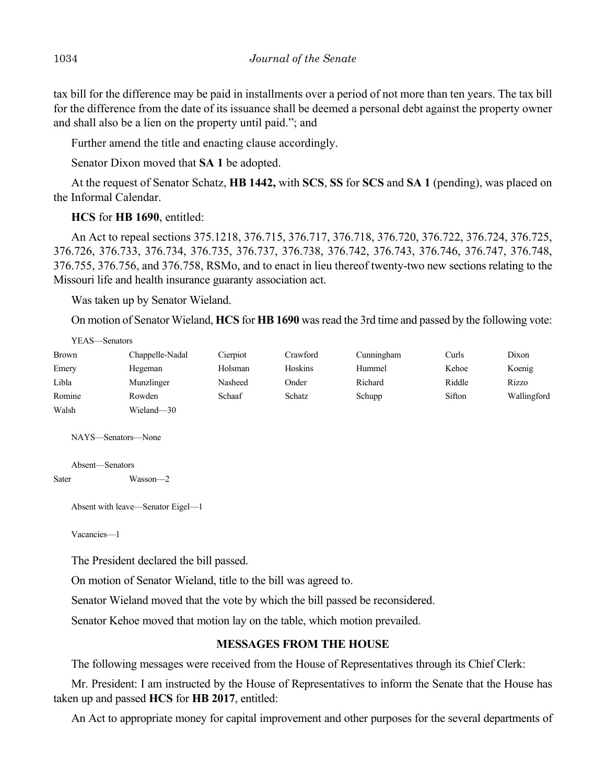tax bill for the difference may be paid in installments over a period of not more than ten years. The tax bill for the difference from the date of its issuance shall be deemed a personal debt against the property owner and shall also be a lien on the property until paid."; and

Further amend the title and enacting clause accordingly.

Senator Dixon moved that **SA 1** be adopted.

At the request of Senator Schatz, **HB 1442,** with **SCS**, **SS** for **SCS** and **SA 1** (pending), was placed on the Informal Calendar.

# **HCS** for **HB 1690**, entitled:

An Act to repeal sections 375.1218, 376.715, 376.717, 376.718, 376.720, 376.722, 376.724, 376.725, 376.726, 376.733, 376.734, 376.735, 376.737, 376.738, 376.742, 376.743, 376.746, 376.747, 376.748, 376.755, 376.756, and 376.758, RSMo, and to enact in lieu thereof twenty-two new sections relating to the Missouri life and health insurance guaranty association act.

Was taken up by Senator Wieland.

On motion of Senator Wieland, **HCS** for **HB 1690** was read the 3rd time and passed by the following vote:

| YEAS—Senators |                 |          |          |            |        |             |
|---------------|-----------------|----------|----------|------------|--------|-------------|
| <b>Brown</b>  | Chappelle-Nadal | Cierpiot | Crawford | Cunningham | Curls  | Dixon       |
| Emery         | Hegeman         | Holsman  | Hoskins  | Hummel     | Kehoe  | Koenig      |
| Libla         | Munzlinger      | Nasheed  | Onder    | Richard    | Riddle | Rizzo       |
| Romine        | Rowden          | Schaaf   | Schatz   | Schupp     | Sifton | Wallingford |
| Walsh         | Wieland-30      |          |          |            |        |             |

NAYS—Senators—None

Absent—Senators

Sater Wasson—2

Absent with leave—Senator Eigel—1

Vacancies—1

The President declared the bill passed.

On motion of Senator Wieland, title to the bill was agreed to.

Senator Wieland moved that the vote by which the bill passed be reconsidered.

Senator Kehoe moved that motion lay on the table, which motion prevailed.

# **MESSAGES FROM THE HOUSE**

The following messages were received from the House of Representatives through its Chief Clerk:

Mr. President: I am instructed by the House of Representatives to inform the Senate that the House has taken up and passed **HCS** for **HB 2017**, entitled:

An Act to appropriate money for capital improvement and other purposes for the several departments of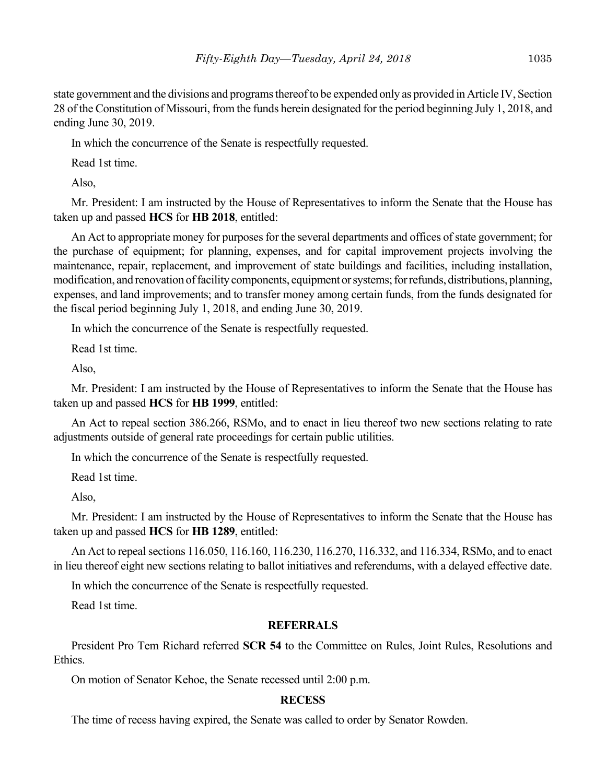state government and the divisions and programs thereof to be expended only as provided in Article IV, Section 28 of the Constitution of Missouri, from the funds herein designated for the period beginning July 1, 2018, and ending June 30, 2019.

In which the concurrence of the Senate is respectfully requested.

Read 1st time.

Also,

Mr. President: I am instructed by the House of Representatives to inform the Senate that the House has taken up and passed **HCS** for **HB 2018**, entitled:

An Act to appropriate money for purposes for the several departments and offices of state government; for the purchase of equipment; for planning, expenses, and for capital improvement projects involving the maintenance, repair, replacement, and improvement of state buildings and facilities, including installation, modification, and renovation of facility components, equipment or systems; for refunds, distributions, planning, expenses, and land improvements; and to transfer money among certain funds, from the funds designated for the fiscal period beginning July 1, 2018, and ending June 30, 2019.

In which the concurrence of the Senate is respectfully requested.

Read 1st time.

Also,

Mr. President: I am instructed by the House of Representatives to inform the Senate that the House has taken up and passed **HCS** for **HB 1999**, entitled:

An Act to repeal section 386.266, RSMo, and to enact in lieu thereof two new sections relating to rate adjustments outside of general rate proceedings for certain public utilities.

In which the concurrence of the Senate is respectfully requested.

Read 1st time.

Also,

Mr. President: I am instructed by the House of Representatives to inform the Senate that the House has taken up and passed **HCS** for **HB 1289**, entitled:

An Act to repeal sections 116.050, 116.160, 116.230, 116.270, 116.332, and 116.334, RSMo, and to enact in lieu thereof eight new sections relating to ballot initiatives and referendums, with a delayed effective date.

In which the concurrence of the Senate is respectfully requested.

Read 1st time.

### **REFERRALS**

President Pro Tem Richard referred **SCR 54** to the Committee on Rules, Joint Rules, Resolutions and Ethics.

On motion of Senator Kehoe, the Senate recessed until 2:00 p.m.

# **RECESS**

The time of recess having expired, the Senate was called to order by Senator Rowden.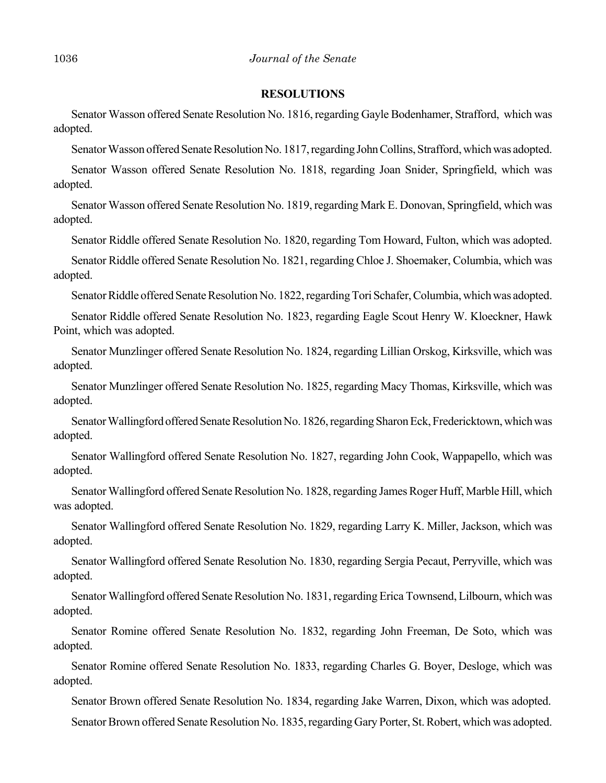#### **RESOLUTIONS**

Senator Wasson offered Senate Resolution No. 1816, regarding Gayle Bodenhamer, Strafford, which was adopted.

Senator Wasson offered Senate Resolution No. 1817, regarding John Collins, Strafford, which was adopted.

Senator Wasson offered Senate Resolution No. 1818, regarding Joan Snider, Springfield, which was adopted.

Senator Wasson offered Senate Resolution No. 1819, regarding Mark E. Donovan, Springfield, which was adopted.

Senator Riddle offered Senate Resolution No. 1820, regarding Tom Howard, Fulton, which was adopted.

Senator Riddle offered Senate Resolution No. 1821, regarding Chloe J. Shoemaker, Columbia, which was adopted.

Senator Riddle offered Senate Resolution No. 1822, regarding Tori Schafer, Columbia, which was adopted.

Senator Riddle offered Senate Resolution No. 1823, regarding Eagle Scout Henry W. Kloeckner, Hawk Point, which was adopted.

Senator Munzlinger offered Senate Resolution No. 1824, regarding Lillian Orskog, Kirksville, which was adopted.

Senator Munzlinger offered Senate Resolution No. 1825, regarding Macy Thomas, Kirksville, which was adopted.

Senator Wallingford offered Senate Resolution No. 1826, regarding Sharon Eck, Fredericktown, which was adopted.

Senator Wallingford offered Senate Resolution No. 1827, regarding John Cook, Wappapello, which was adopted.

Senator Wallingford offered Senate Resolution No. 1828, regarding James Roger Huff, Marble Hill, which was adopted.

Senator Wallingford offered Senate Resolution No. 1829, regarding Larry K. Miller, Jackson, which was adopted.

Senator Wallingford offered Senate Resolution No. 1830, regarding Sergia Pecaut, Perryville, which was adopted.

Senator Wallingford offered Senate Resolution No. 1831, regarding Erica Townsend, Lilbourn, which was adopted.

Senator Romine offered Senate Resolution No. 1832, regarding John Freeman, De Soto, which was adopted.

Senator Romine offered Senate Resolution No. 1833, regarding Charles G. Boyer, Desloge, which was adopted.

Senator Brown offered Senate Resolution No. 1834, regarding Jake Warren, Dixon, which was adopted.

Senator Brown offered Senate Resolution No. 1835, regarding Gary Porter, St. Robert, which was adopted.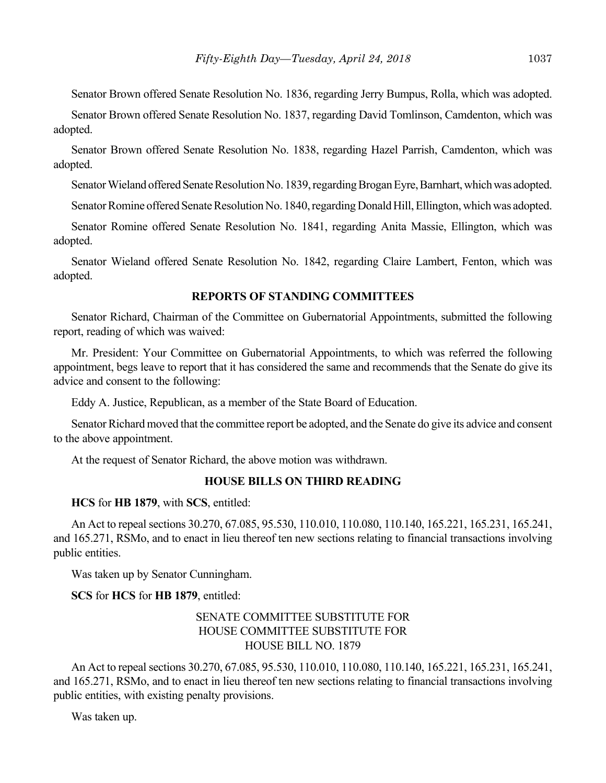Senator Brown offered Senate Resolution No. 1836, regarding Jerry Bumpus, Rolla, which was adopted.

Senator Brown offered Senate Resolution No. 1837, regarding David Tomlinson, Camdenton, which was adopted.

Senator Brown offered Senate Resolution No. 1838, regarding Hazel Parrish, Camdenton, which was adopted.

Senator Wieland offered Senate Resolution No. 1839, regarding Brogan Eyre, Barnhart, which was adopted.

Senator Romine offered Senate Resolution No. 1840, regarding Donald Hill, Ellington, which was adopted.

Senator Romine offered Senate Resolution No. 1841, regarding Anita Massie, Ellington, which was adopted.

Senator Wieland offered Senate Resolution No. 1842, regarding Claire Lambert, Fenton, which was adopted.

#### **REPORTS OF STANDING COMMITTEES**

Senator Richard, Chairman of the Committee on Gubernatorial Appointments, submitted the following report, reading of which was waived:

Mr. President: Your Committee on Gubernatorial Appointments, to which was referred the following appointment, begs leave to report that it has considered the same and recommends that the Senate do give its advice and consent to the following:

Eddy A. Justice, Republican, as a member of the State Board of Education.

Senator Richard moved that the committee report be adopted, and the Senate do give its advice and consent to the above appointment.

At the request of Senator Richard, the above motion was withdrawn.

#### **HOUSE BILLS ON THIRD READING**

**HCS** for **HB 1879**, with **SCS**, entitled:

An Act to repeal sections 30.270, 67.085, 95.530, 110.010, 110.080, 110.140, 165.221, 165.231, 165.241, and 165.271, RSMo, and to enact in lieu thereof ten new sections relating to financial transactions involving public entities.

Was taken up by Senator Cunningham.

#### **SCS** for **HCS** for **HB 1879**, entitled:

# SENATE COMMITTEE SUBSTITUTE FOR HOUSE COMMITTEE SUBSTITUTE FOR HOUSE BILL NO. 1879

An Act to repeal sections 30.270, 67.085, 95.530, 110.010, 110.080, 110.140, 165.221, 165.231, 165.241, and 165.271, RSMo, and to enact in lieu thereof ten new sections relating to financial transactions involving public entities, with existing penalty provisions.

Was taken up.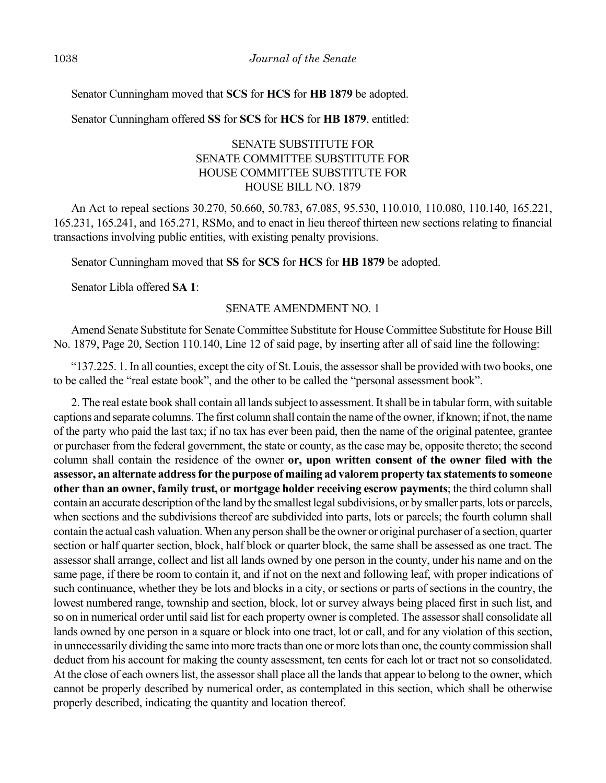Senator Cunningham moved that **SCS** for **HCS** for **HB 1879** be adopted.

Senator Cunningham offered **SS** for **SCS** for **HCS** for **HB 1879**, entitled:

# SENATE SUBSTITUTE FOR SENATE COMMITTEE SUBSTITUTE FOR HOUSE COMMITTEE SUBSTITUTE FOR HOUSE BILL NO. 1879

An Act to repeal sections 30.270, 50.660, 50.783, 67.085, 95.530, 110.010, 110.080, 110.140, 165.221, 165.231, 165.241, and 165.271, RSMo, and to enact in lieu thereof thirteen new sections relating to financial transactions involving public entities, with existing penalty provisions.

Senator Cunningham moved that **SS** for **SCS** for **HCS** for **HB 1879** be adopted.

Senator Libla offered **SA 1**:

# SENATE AMENDMENT NO. 1

Amend Senate Substitute for Senate Committee Substitute for House Committee Substitute for House Bill No. 1879, Page 20, Section 110.140, Line 12 of said page, by inserting after all of said line the following:

"137.225. 1. In all counties, except the city of St. Louis, the assessor shall be provided with two books, one to be called the "real estate book", and the other to be called the "personal assessment book".

2. The real estate book shall contain all lands subject to assessment. It shall be in tabular form, with suitable captions and separate columns. The first column shall contain the name of the owner, if known; if not, the name of the party who paid the last tax; if no tax has ever been paid, then the name of the original patentee, grantee or purchaser from the federal government, the state or county, as the case may be, opposite thereto; the second column shall contain the residence of the owner **or, upon written consent of the owner filed with the assessor, an alternate address for the purpose of mailing ad valorem property tax statements to someone other than an owner, family trust, or mortgage holder receiving escrow payments**; the third column shall contain an accurate description of the land by the smallest legal subdivisions, or by smaller parts, lots or parcels, when sections and the subdivisions thereof are subdivided into parts, lots or parcels; the fourth column shall contain the actual cash valuation. When any person shall be the owner or original purchaser of a section, quarter section or half quarter section, block, half block or quarter block, the same shall be assessed as one tract. The assessor shall arrange, collect and list all lands owned by one person in the county, under his name and on the same page, if there be room to contain it, and if not on the next and following leaf, with proper indications of such continuance, whether they be lots and blocks in a city, or sections or parts of sections in the country, the lowest numbered range, township and section, block, lot or survey always being placed first in such list, and so on in numerical order until said list for each property owner is completed. The assessor shall consolidate all lands owned by one person in a square or block into one tract, lot or call, and for any violation of this section, in unnecessarily dividing the same into more tracts than one or more lots than one, the county commission shall deduct from his account for making the county assessment, ten cents for each lot or tract not so consolidated. At the close of each owners list, the assessor shall place all the lands that appear to belong to the owner, which cannot be properly described by numerical order, as contemplated in this section, which shall be otherwise properly described, indicating the quantity and location thereof.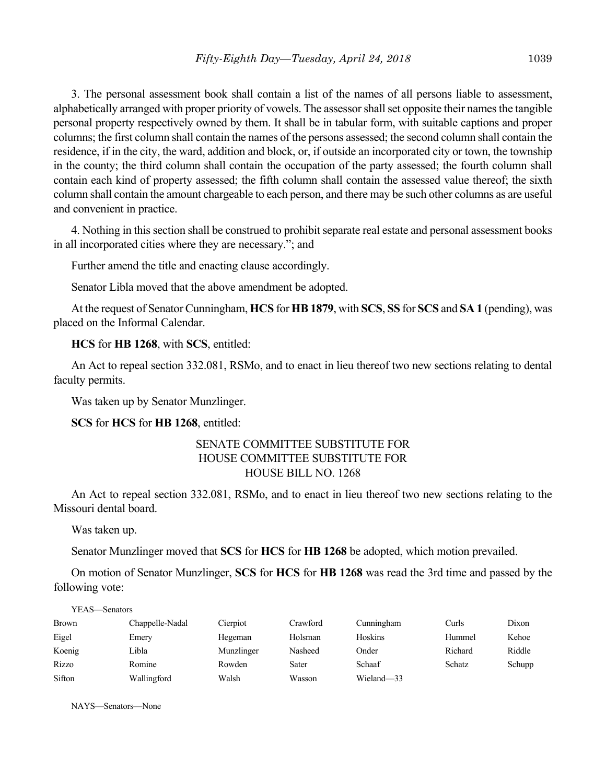3. The personal assessment book shall contain a list of the names of all persons liable to assessment, alphabetically arranged with proper priority of vowels. The assessor shall set opposite their names the tangible personal property respectively owned by them. It shall be in tabular form, with suitable captions and proper columns; the first column shall contain the names of the persons assessed; the second column shall contain the residence, if in the city, the ward, addition and block, or, if outside an incorporated city or town, the township in the county; the third column shall contain the occupation of the party assessed; the fourth column shall contain each kind of property assessed; the fifth column shall contain the assessed value thereof; the sixth column shall contain the amount chargeable to each person, and there may be such other columns as are useful and convenient in practice.

4. Nothing in this section shall be construed to prohibit separate real estate and personal assessment books in all incorporated cities where they are necessary."; and

Further amend the title and enacting clause accordingly.

Senator Libla moved that the above amendment be adopted.

At the request of Senator Cunningham, **HCS** for **HB 1879**, with **SCS**, **SS** for **SCS** and **SA 1** (pending), was placed on the Informal Calendar.

# **HCS** for **HB 1268**, with **SCS**, entitled:

An Act to repeal section 332.081, RSMo, and to enact in lieu thereof two new sections relating to dental faculty permits.

Was taken up by Senator Munzlinger.

**SCS** for **HCS** for **HB 1268**, entitled:

# SENATE COMMITTEE SUBSTITUTE FOR HOUSE COMMITTEE SUBSTITUTE FOR HOUSE BILL NO. 1268

An Act to repeal section 332.081, RSMo, and to enact in lieu thereof two new sections relating to the Missouri dental board.

Was taken up.

Senator Munzlinger moved that **SCS** for **HCS** for **HB 1268** be adopted, which motion prevailed.

On motion of Senator Munzlinger, **SCS** for **HCS** for **HB 1268** was read the 3rd time and passed by the following vote:

| YEAS—Senators |                 |            |          |            |         |        |
|---------------|-----------------|------------|----------|------------|---------|--------|
| <b>Brown</b>  | Chappelle-Nadal | Cierpiot   | Crawford | Cunningham | Curls   | Dixon  |
| Eigel         | Emery           | Hegeman    | Holsman  | Hoskins    | Hummel  | Kehoe  |
| Koenig        | Libla           | Munzlinger | Nasheed  | Onder      | Richard | Riddle |
| Rizzo         | Romine          | Rowden     | Sater    | Schaaf     | Schatz  | Schupp |
| Sifton        | Wallingford     | Walsh      | Wasson   | Wieland-33 |         |        |

NAYS—Senators—None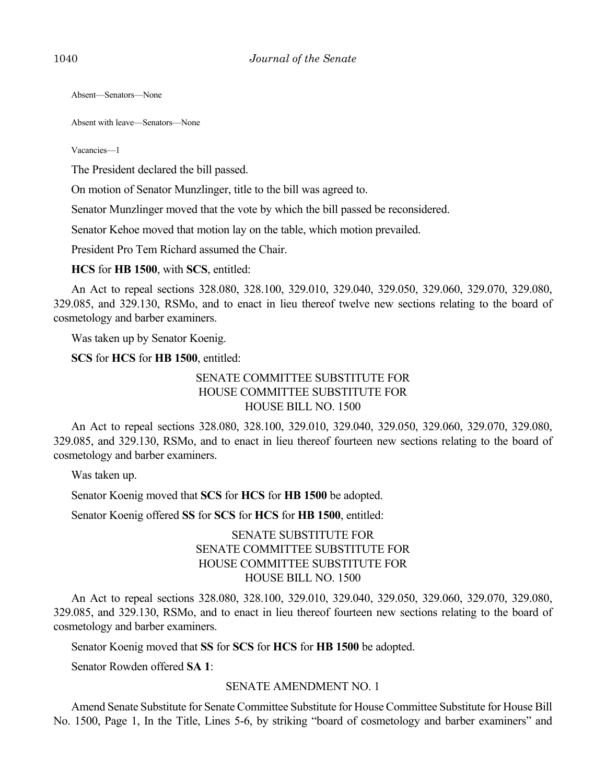Absent—Senators—None

Absent with leave—Senators—None

Vacancies—1

The President declared the bill passed.

On motion of Senator Munzlinger, title to the bill was agreed to.

Senator Munzlinger moved that the vote by which the bill passed be reconsidered.

Senator Kehoe moved that motion lay on the table, which motion prevailed.

President Pro Tem Richard assumed the Chair.

**HCS** for **HB 1500**, with **SCS**, entitled:

An Act to repeal sections 328.080, 328.100, 329.010, 329.040, 329.050, 329.060, 329.070, 329.080, 329.085, and 329.130, RSMo, and to enact in lieu thereof twelve new sections relating to the board of cosmetology and barber examiners.

Was taken up by Senator Koenig.

**SCS** for **HCS** for **HB 1500**, entitled:

# SENATE COMMITTEE SUBSTITUTE FOR HOUSE COMMITTEE SUBSTITUTE FOR HOUSE BILL NO. 1500

An Act to repeal sections 328.080, 328.100, 329.010, 329.040, 329.050, 329.060, 329.070, 329.080, 329.085, and 329.130, RSMo, and to enact in lieu thereof fourteen new sections relating to the board of cosmetology and barber examiners.

Was taken up.

Senator Koenig moved that **SCS** for **HCS** for **HB 1500** be adopted.

Senator Koenig offered **SS** for **SCS** for **HCS** for **HB 1500**, entitled:

# SENATE SUBSTITUTE FOR SENATE COMMITTEE SUBSTITUTE FOR HOUSE COMMITTEE SUBSTITUTE FOR HOUSE BILL NO. 1500

An Act to repeal sections 328.080, 328.100, 329.010, 329.040, 329.050, 329.060, 329.070, 329.080, 329.085, and 329.130, RSMo, and to enact in lieu thereof fourteen new sections relating to the board of cosmetology and barber examiners.

Senator Koenig moved that **SS** for **SCS** for **HCS** for **HB 1500** be adopted.

Senator Rowden offered **SA 1**:

### SENATE AMENDMENT NO. 1

Amend Senate Substitute for Senate Committee Substitute for House Committee Substitute for House Bill No. 1500, Page 1, In the Title, Lines 5-6, by striking "board of cosmetology and barber examiners" and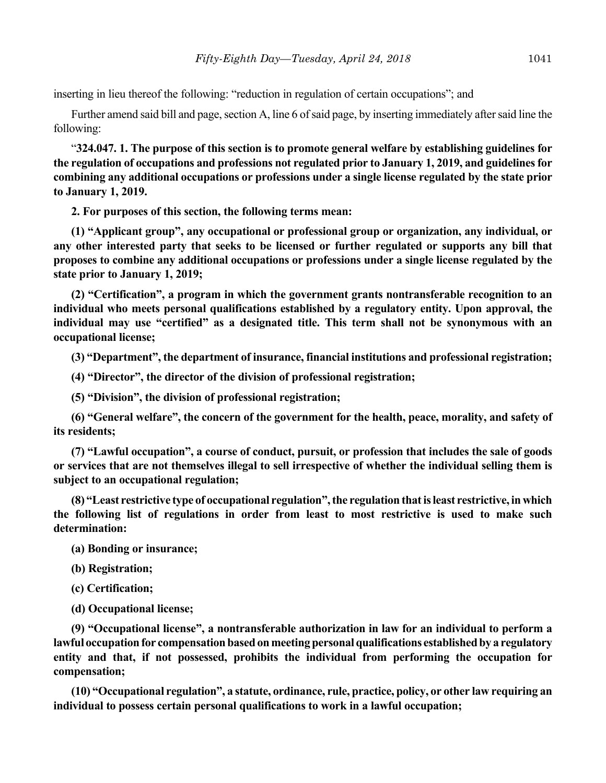inserting in lieu thereof the following: "reduction in regulation of certain occupations"; and

Further amend said bill and page, section A, line 6 of said page, by inserting immediately after said line the following:

"**324.047. 1. The purpose of this section is to promote general welfare by establishing guidelines for the regulation of occupations and professions not regulated prior to January 1, 2019, and guidelines for combining any additional occupations or professions under a single license regulated by the state prior to January 1, 2019.**

**2. For purposes of this section, the following terms mean:**

**(1) "Applicant group", any occupational or professional group or organization, any individual, or any other interested party that seeks to be licensed or further regulated or supports any bill that proposes to combine any additional occupations or professions under a single license regulated by the state prior to January 1, 2019;**

**(2) "Certification", a program in which the government grants nontransferable recognition to an individual who meets personal qualifications established by a regulatory entity. Upon approval, the individual may use "certified" as a designated title. This term shall not be synonymous with an occupational license;**

**(3) "Department", the department of insurance, financial institutions and professional registration;**

**(4) "Director", the director of the division of professional registration;**

**(5) "Division", the division of professional registration;**

**(6) "General welfare", the concern of the government for the health, peace, morality, and safety of its residents;**

**(7) "Lawful occupation", a course of conduct, pursuit, or profession that includes the sale of goods or services that are not themselves illegal to sell irrespective of whether the individual selling them is subject to an occupational regulation;**

**(8) "Least restrictive type of occupational regulation", the regulation that is least restrictive, in which the following list of regulations in order from least to most restrictive is used to make such determination:**

**(a) Bonding or insurance;**

**(b) Registration;**

**(c) Certification;**

**(d) Occupational license;**

**(9) "Occupational license", a nontransferable authorization in law for an individual to perform a lawful occupation for compensation based on meeting personal qualifications established by a regulatory entity and that, if not possessed, prohibits the individual from performing the occupation for compensation;**

**(10) "Occupational regulation", a statute, ordinance, rule, practice, policy, or other law requiring an individual to possess certain personal qualifications to work in a lawful occupation;**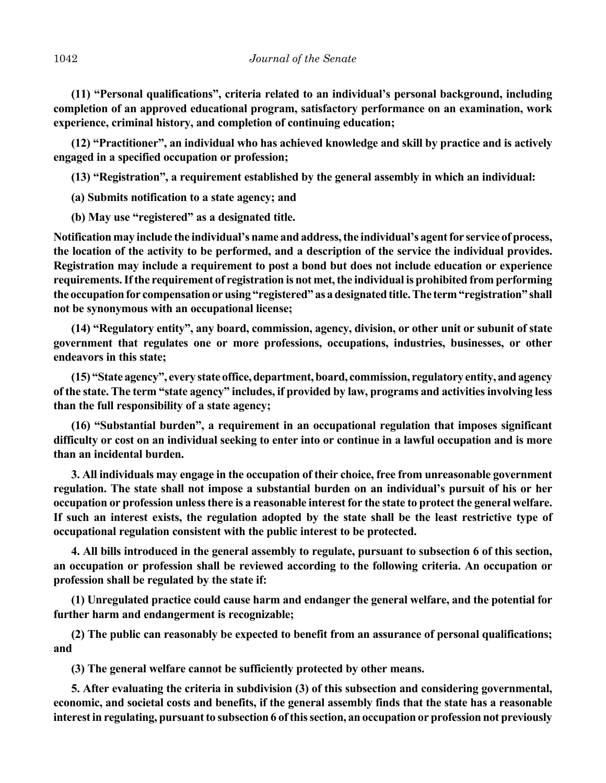**(11) "Personal qualifications", criteria related to an individual's personal background, including completion of an approved educational program, satisfactory performance on an examination, work experience, criminal history, and completion of continuing education;**

**(12) "Practitioner", an individual who has achieved knowledge and skill by practice and is actively engaged in a specified occupation or profession;**

**(13) "Registration", a requirement established by the general assembly in which an individual:**

**(a) Submits notification to a state agency; and**

**(b) May use "registered" as a designated title.**

**Notification may include the individual's name and address, the individual's agent for service of process, the location of the activity to be performed, and a description of the service the individual provides. Registration may include a requirement to post a bond but does not include education or experience requirements. If the requirement of registration is not met, the individual is prohibited from performing the occupation for compensation or using "registered" as a designated title. The term "registration" shall not be synonymous with an occupational license;**

**(14) "Regulatory entity", any board, commission, agency, division, or other unit or subunit of state government that regulates one or more professions, occupations, industries, businesses, or other endeavors in this state;**

**(15) "State agency", every state office, department, board, commission, regulatory entity, and agency of the state. The term "state agency" includes, if provided by law, programs and activities involving less than the full responsibility of a state agency;**

**(16) "Substantial burden", a requirement in an occupational regulation that imposes significant difficulty or cost on an individual seeking to enter into or continue in a lawful occupation and is more than an incidental burden.**

**3. All individuals may engage in the occupation of their choice, free from unreasonable government regulation. The state shall not impose a substantial burden on an individual's pursuit of his or her occupation or profession unless there is a reasonable interest for the state to protect the general welfare. If such an interest exists, the regulation adopted by the state shall be the least restrictive type of occupational regulation consistent with the public interest to be protected.**

**4. All bills introduced in the general assembly to regulate, pursuant to subsection 6 of this section, an occupation or profession shall be reviewed according to the following criteria. An occupation or profession shall be regulated by the state if:**

**(1) Unregulated practice could cause harm and endanger the general welfare, and the potential for further harm and endangerment is recognizable;**

**(2) The public can reasonably be expected to benefit from an assurance of personal qualifications; and**

**(3) The general welfare cannot be sufficiently protected by other means.**

**5. After evaluating the criteria in subdivision (3) of this subsection and considering governmental, economic, and societal costs and benefits, if the general assembly finds that the state has a reasonable interest in regulating, pursuant to subsection 6 of this section, an occupation or profession not previously**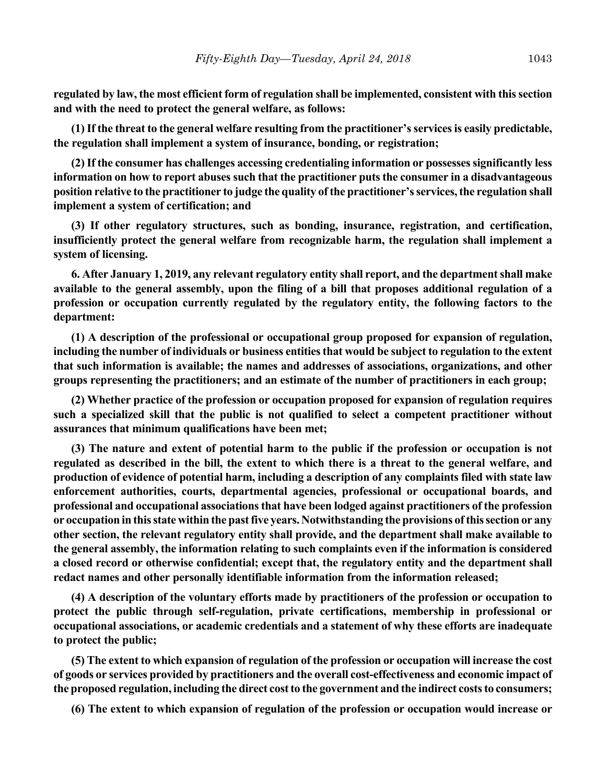**regulated by law, the most efficient form of regulation shall be implemented, consistent with this section and with the need to protect the general welfare, as follows:**

**(1) If the threat to the general welfare resulting from the practitioner's services is easily predictable, the regulation shall implement a system of insurance, bonding, or registration;**

**(2) If the consumer has challenges accessing credentialing information or possesses significantly less information on how to report abuses such that the practitioner puts the consumer in a disadvantageous position relative to the practitioner to judge the quality of the practitioner's services, the regulation shall implement a system of certification; and**

**(3) If other regulatory structures, such as bonding, insurance, registration, and certification, insufficiently protect the general welfare from recognizable harm, the regulation shall implement a system of licensing.**

**6. After January 1, 2019, any relevant regulatory entity shall report, and the department shall make available to the general assembly, upon the filing of a bill that proposes additional regulation of a profession or occupation currently regulated by the regulatory entity, the following factors to the department:**

**(1) A description of the professional or occupational group proposed for expansion of regulation, including the number of individuals or business entities that would be subject to regulation to the extent that such information is available; the names and addresses of associations, organizations, and other groups representing the practitioners; and an estimate of the number of practitioners in each group;**

**(2) Whether practice of the profession or occupation proposed for expansion of regulation requires such a specialized skill that the public is not qualified to select a competent practitioner without assurances that minimum qualifications have been met;**

**(3) The nature and extent of potential harm to the public if the profession or occupation is not regulated as described in the bill, the extent to which there is a threat to the general welfare, and production of evidence of potential harm, including a description of any complaints filed with state law enforcement authorities, courts, departmental agencies, professional or occupational boards, and professional and occupational associations that have been lodged against practitioners of the profession or occupation in this state within the past five years. Notwithstanding the provisions of this section or any other section, the relevant regulatory entity shall provide, and the department shall make available to the general assembly, the information relating to such complaints even if the information is considered a closed record or otherwise confidential; except that, the regulatory entity and the department shall redact names and other personally identifiable information from the information released;**

**(4) A description of the voluntary efforts made by practitioners of the profession or occupation to protect the public through self-regulation, private certifications, membership in professional or occupational associations, or academic credentials and a statement of why these efforts are inadequate to protect the public;**

**(5) The extent to which expansion of regulation of the profession or occupation will increase the cost of goods or services provided by practitioners and the overall cost-effectiveness and economic impact of the proposed regulation, including the direct cost to the government and the indirect costs to consumers;**

**(6) The extent to which expansion of regulation of the profession or occupation would increase or**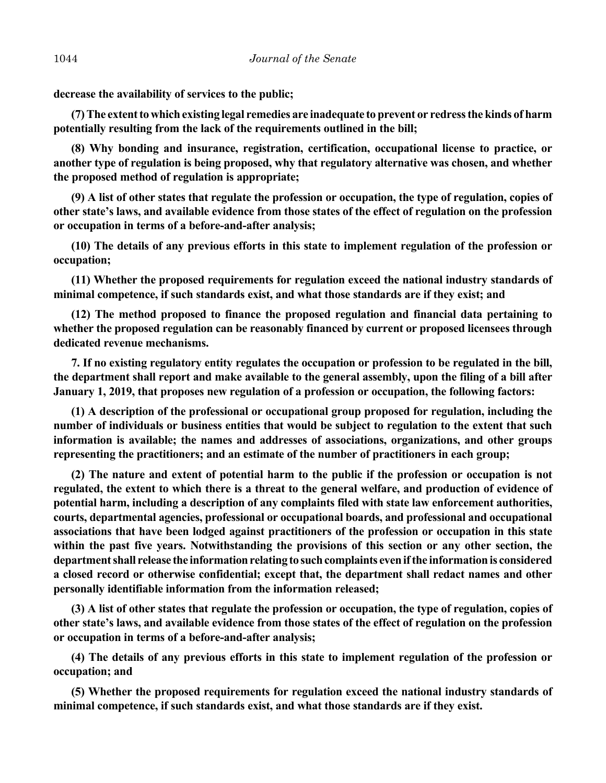**decrease the availability of services to the public;**

**(7) The extent to which existing legal remedies are inadequate to prevent or redress the kinds of harm potentially resulting from the lack of the requirements outlined in the bill;**

**(8) Why bonding and insurance, registration, certification, occupational license to practice, or another type of regulation is being proposed, why that regulatory alternative was chosen, and whether the proposed method of regulation is appropriate;**

**(9) A list of other states that regulate the profession or occupation, the type of regulation, copies of other state's laws, and available evidence from those states of the effect of regulation on the profession or occupation in terms of a before-and-after analysis;**

**(10) The details of any previous efforts in this state to implement regulation of the profession or occupation;**

**(11) Whether the proposed requirements for regulation exceed the national industry standards of minimal competence, if such standards exist, and what those standards are if they exist; and**

**(12) The method proposed to finance the proposed regulation and financial data pertaining to whether the proposed regulation can be reasonably financed by current or proposed licensees through dedicated revenue mechanisms.**

**7. If no existing regulatory entity regulates the occupation or profession to be regulated in the bill, the department shall report and make available to the general assembly, upon the filing of a bill after January 1, 2019, that proposes new regulation of a profession or occupation, the following factors:**

**(1) A description of the professional or occupational group proposed for regulation, including the number of individuals or business entities that would be subject to regulation to the extent that such information is available; the names and addresses of associations, organizations, and other groups representing the practitioners; and an estimate of the number of practitioners in each group;**

**(2) The nature and extent of potential harm to the public if the profession or occupation is not regulated, the extent to which there is a threat to the general welfare, and production of evidence of potential harm, including a description of any complaints filed with state law enforcement authorities, courts, departmental agencies, professional or occupational boards, and professional and occupational associations that have been lodged against practitioners of the profession or occupation in this state within the past five years. Notwithstanding the provisions of this section or any other section, the department shall release the information relating to such complaints even if the information is considered a closed record or otherwise confidential; except that, the department shall redact names and other personally identifiable information from the information released;**

**(3) A list of other states that regulate the profession or occupation, the type of regulation, copies of other state's laws, and available evidence from those states of the effect of regulation on the profession or occupation in terms of a before-and-after analysis;**

**(4) The details of any previous efforts in this state to implement regulation of the profession or occupation; and**

**(5) Whether the proposed requirements for regulation exceed the national industry standards of minimal competence, if such standards exist, and what those standards are if they exist.**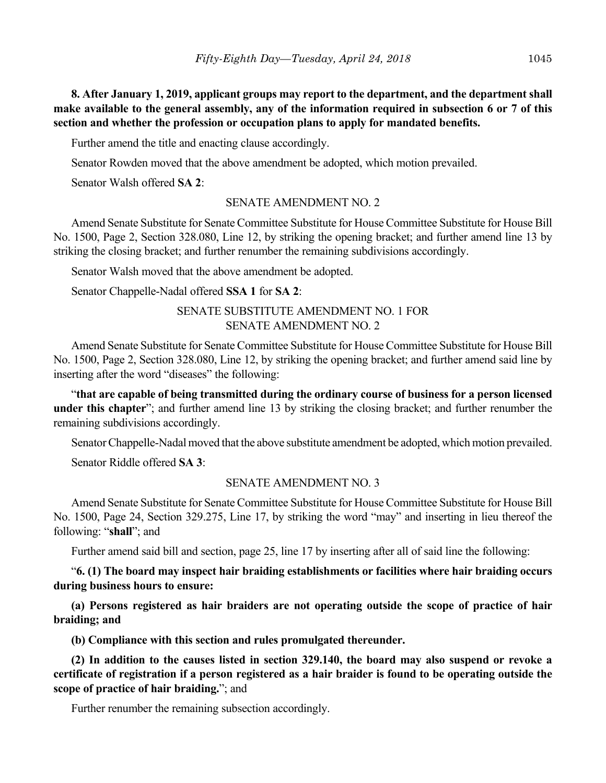**8. After January 1, 2019, applicant groups may report to the department, and the department shall make available to the general assembly, any of the information required in subsection 6 or 7 of this section and whether the profession or occupation plans to apply for mandated benefits.**

Further amend the title and enacting clause accordingly.

Senator Rowden moved that the above amendment be adopted, which motion prevailed.

Senator Walsh offered **SA 2**:

#### SENATE AMENDMENT NO. 2

Amend Senate Substitute for Senate Committee Substitute for House Committee Substitute for House Bill No. 1500, Page 2, Section 328.080, Line 12, by striking the opening bracket; and further amend line 13 by striking the closing bracket; and further renumber the remaining subdivisions accordingly.

Senator Walsh moved that the above amendment be adopted.

Senator Chappelle-Nadal offered **SSA 1** for **SA 2**:

# SENATE SUBSTITUTE AMENDMENT NO. 1 FOR SENATE AMENDMENT NO. 2

Amend Senate Substitute for Senate Committee Substitute for House Committee Substitute for House Bill No. 1500, Page 2, Section 328.080, Line 12, by striking the opening bracket; and further amend said line by inserting after the word "diseases" the following:

"**that are capable of being transmitted during the ordinary course of business for a person licensed under this chapter**"; and further amend line 13 by striking the closing bracket; and further renumber the remaining subdivisions accordingly.

Senator Chappelle-Nadal moved that the above substitute amendment be adopted, which motion prevailed.

Senator Riddle offered **SA 3**:

### SENATE AMENDMENT NO. 3

Amend Senate Substitute for Senate Committee Substitute for House Committee Substitute for House Bill No. 1500, Page 24, Section 329.275, Line 17, by striking the word "may" and inserting in lieu thereof the following: "**shall**"; and

Further amend said bill and section, page 25, line 17 by inserting after all of said line the following:

"**6. (1) The board may inspect hair braiding establishments or facilities where hair braiding occurs during business hours to ensure:**

**(a) Persons registered as hair braiders are not operating outside the scope of practice of hair braiding; and**

**(b) Compliance with this section and rules promulgated thereunder.**

**(2) In addition to the causes listed in section 329.140, the board may also suspend or revoke a certificate of registration if a person registered as a hair braider is found to be operating outside the scope of practice of hair braiding.**"; and

Further renumber the remaining subsection accordingly.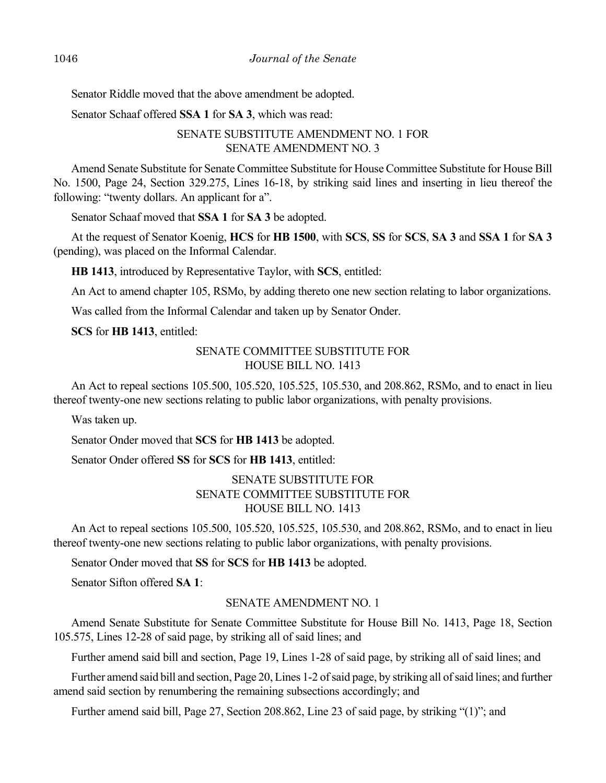Senator Riddle moved that the above amendment be adopted.

Senator Schaaf offered **SSA 1** for **SA 3**, which was read:

# SENATE SUBSTITUTE AMENDMENT NO. 1 FOR SENATE AMENDMENT NO. 3

Amend Senate Substitute for Senate Committee Substitute for House Committee Substitute for House Bill No. 1500, Page 24, Section 329.275, Lines 16-18, by striking said lines and inserting in lieu thereof the following: "twenty dollars. An applicant for a".

Senator Schaaf moved that **SSA 1** for **SA 3** be adopted.

At the request of Senator Koenig, **HCS** for **HB 1500**, with **SCS**, **SS** for **SCS**, **SA 3** and **SSA 1** for **SA 3** (pending), was placed on the Informal Calendar.

**HB 1413**, introduced by Representative Taylor, with **SCS**, entitled:

An Act to amend chapter 105, RSMo, by adding thereto one new section relating to labor organizations.

Was called from the Informal Calendar and taken up by Senator Onder.

**SCS** for **HB 1413**, entitled:

### SENATE COMMITTEE SUBSTITUTE FOR HOUSE BILL NO. 1413

An Act to repeal sections 105.500, 105.520, 105.525, 105.530, and 208.862, RSMo, and to enact in lieu thereof twenty-one new sections relating to public labor organizations, with penalty provisions.

Was taken up.

Senator Onder moved that **SCS** for **HB 1413** be adopted.

Senator Onder offered **SS** for **SCS** for **HB 1413**, entitled:

# SENATE SUBSTITUTE FOR SENATE COMMITTEE SUBSTITUTE FOR HOUSE BILL NO. 1413

An Act to repeal sections 105.500, 105.520, 105.525, 105.530, and 208.862, RSMo, and to enact in lieu thereof twenty-one new sections relating to public labor organizations, with penalty provisions.

Senator Onder moved that **SS** for **SCS** for **HB 1413** be adopted.

Senator Sifton offered **SA 1**:

#### SENATE AMENDMENT NO. 1

Amend Senate Substitute for Senate Committee Substitute for House Bill No. 1413, Page 18, Section 105.575, Lines 12-28 of said page, by striking all of said lines; and

Further amend said bill and section, Page 19, Lines 1-28 of said page, by striking all of said lines; and

Further amend said bill and section, Page 20, Lines 1-2 of said page, by striking all of said lines; and further amend said section by renumbering the remaining subsections accordingly; and

Further amend said bill, Page 27, Section 208.862, Line 23 of said page, by striking "(1)"; and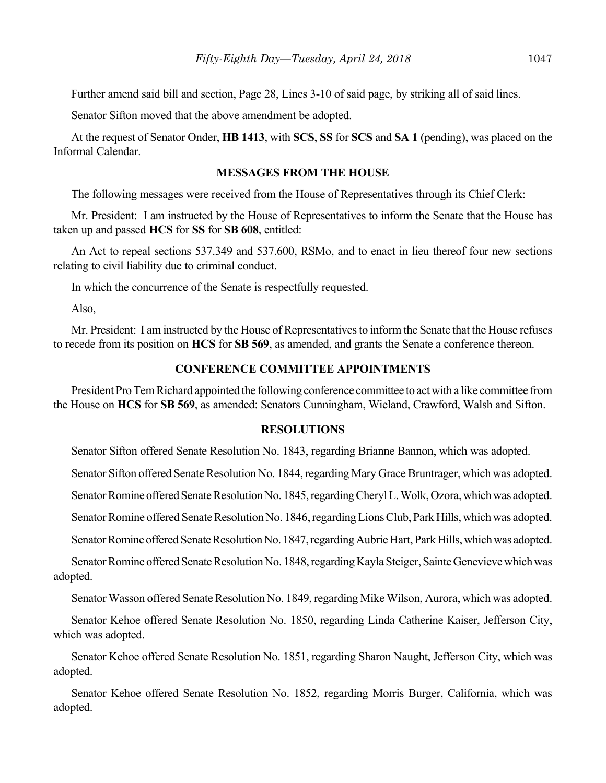Further amend said bill and section, Page 28, Lines 3-10 of said page, by striking all of said lines.

Senator Sifton moved that the above amendment be adopted.

At the request of Senator Onder, **HB 1413**, with **SCS**, **SS** for **SCS** and **SA 1** (pending), was placed on the Informal Calendar.

#### **MESSAGES FROM THE HOUSE**

The following messages were received from the House of Representatives through its Chief Clerk:

Mr. President: I am instructed by the House of Representatives to inform the Senate that the House has taken up and passed **HCS** for **SS** for **SB 608**, entitled:

An Act to repeal sections 537.349 and 537.600, RSMo, and to enact in lieu thereof four new sections relating to civil liability due to criminal conduct.

In which the concurrence of the Senate is respectfully requested.

Also,

Mr. President: I am instructed by the House of Representatives to inform the Senate that the House refuses to recede from its position on **HCS** for **SB 569**, as amended, and grants the Senate a conference thereon.

# **CONFERENCE COMMITTEE APPOINTMENTS**

President Pro Tem Richard appointed the following conference committee to act with a like committee from the House on **HCS** for **SB 569**, as amended: Senators Cunningham, Wieland, Crawford, Walsh and Sifton.

#### **RESOLUTIONS**

Senator Sifton offered Senate Resolution No. 1843, regarding Brianne Bannon, which was adopted.

Senator Sifton offered Senate Resolution No. 1844, regarding Mary Grace Bruntrager, which was adopted.

Senator Romine offered Senate Resolution No. 1845, regarding Cheryl L. Wolk, Ozora, which was adopted.

Senator Romine offered Senate Resolution No. 1846, regarding Lions Club, Park Hills, which was adopted.

Senator Romine offered Senate Resolution No. 1847, regarding Aubrie Hart, Park Hills, which was adopted.

Senator Romine offered Senate Resolution No. 1848, regarding Kayla Steiger, Sainte Genevieve which was adopted.

Senator Wasson offered Senate Resolution No. 1849, regarding Mike Wilson, Aurora, which was adopted.

Senator Kehoe offered Senate Resolution No. 1850, regarding Linda Catherine Kaiser, Jefferson City, which was adopted.

Senator Kehoe offered Senate Resolution No. 1851, regarding Sharon Naught, Jefferson City, which was adopted.

Senator Kehoe offered Senate Resolution No. 1852, regarding Morris Burger, California, which was adopted.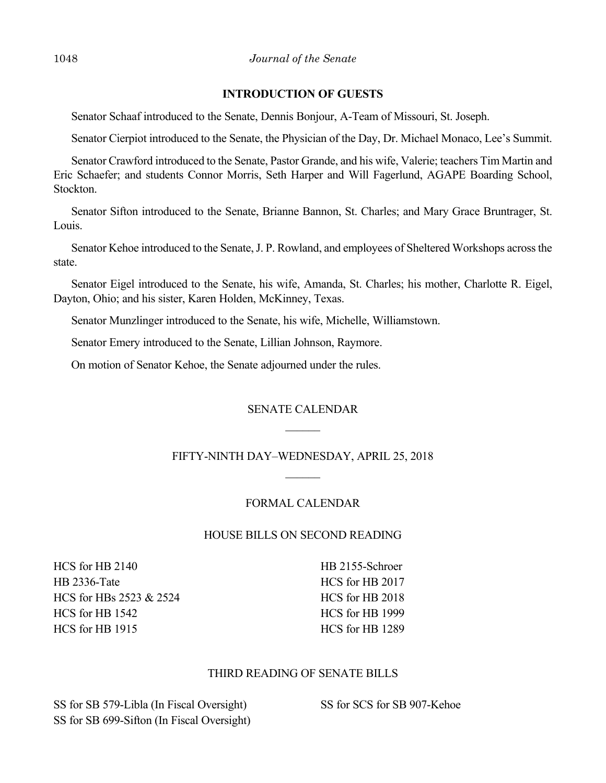# **INTRODUCTION OF GUESTS**

Senator Schaaf introduced to the Senate, Dennis Bonjour, A-Team of Missouri, St. Joseph.

Senator Cierpiot introduced to the Senate, the Physician of the Day, Dr. Michael Monaco, Lee's Summit.

Senator Crawford introduced to the Senate, Pastor Grande, and his wife, Valerie; teachers Tim Martin and Eric Schaefer; and students Connor Morris, Seth Harper and Will Fagerlund, AGAPE Boarding School, Stockton.

Senator Sifton introduced to the Senate, Brianne Bannon, St. Charles; and Mary Grace Bruntrager, St. Louis.

Senator Kehoe introduced to the Senate, J. P. Rowland, and employees of Sheltered Workshops across the state.

Senator Eigel introduced to the Senate, his wife, Amanda, St. Charles; his mother, Charlotte R. Eigel, Dayton, Ohio; and his sister, Karen Holden, McKinney, Texas.

Senator Munzlinger introduced to the Senate, his wife, Michelle, Williamstown.

Senator Emery introduced to the Senate, Lillian Johnson, Raymore.

On motion of Senator Kehoe, the Senate adjourned under the rules.

# SENATE CALENDAR

# FIFTY-NINTH DAY–WEDNESDAY, APRIL 25, 2018

# FORMAL CALENDAR

# HOUSE BILLS ON SECOND READING

HCS for HB 2140 HB 2336-Tate HCS for HBs 2523 & 2524 HCS for HB 1542 HCS for HB 1915

HB 2155-Schroer HCS for HB 2017 HCS for HB 2018 HCS for HB 1999 HCS for HB 1289

# THIRD READING OF SENATE BILLS

SS for SB 579-Libla (In Fiscal Oversight) SS for SB 699-Sifton (In Fiscal Oversight) SS for SCS for SB 907-Kehoe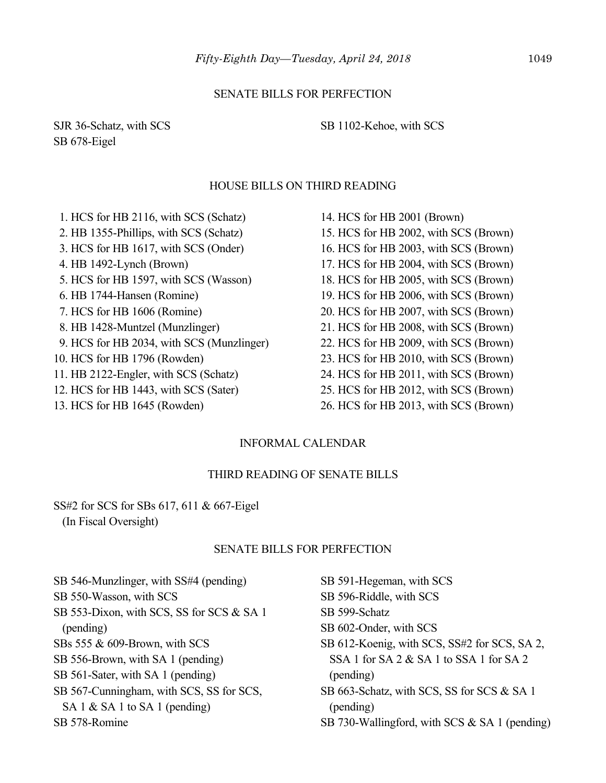#### SENATE BILLS FOR PERFECTION

SJR 36-Schatz, with SCS SB 678-Eigel

SB 1102-Kehoe, with SCS

#### HOUSE BILLS ON THIRD READING

 1. HCS for HB 2116, with SCS (Schatz) 2. HB 1355-Phillips, with SCS (Schatz) 3. HCS for HB 1617, with SCS (Onder) 4. HB 1492-Lynch (Brown) 5. HCS for HB 1597, with SCS (Wasson) 6. HB 1744-Hansen (Romine) 7. HCS for HB 1606 (Romine) 8. HB 1428-Muntzel (Munzlinger) 9. HCS for HB 2034, with SCS (Munzlinger) 10. HCS for HB 1796 (Rowden) 11. HB 2122-Engler, with SCS (Schatz) 12. HCS for HB 1443, with SCS (Sater)

13. HCS for HB 1645 (Rowden)

14. HCS for HB 2001 (Brown) 15. HCS for HB 2002, with SCS (Brown) 16. HCS for HB 2003, with SCS (Brown) 17. HCS for HB 2004, with SCS (Brown) 18. HCS for HB 2005, with SCS (Brown) 19. HCS for HB 2006, with SCS (Brown) 20. HCS for HB 2007, with SCS (Brown) 21. HCS for HB 2008, with SCS (Brown) 22. HCS for HB 2009, with SCS (Brown) 23. HCS for HB 2010, with SCS (Brown) 24. HCS for HB 2011, with SCS (Brown) 25. HCS for HB 2012, with SCS (Brown)

26. HCS for HB 2013, with SCS (Brown)

#### INFORMAL CALENDAR

### THIRD READING OF SENATE BILLS

# SS#2 for SCS for SBs 617, 611 & 667-Eigel (In Fiscal Oversight)

#### SENATE BILLS FOR PERFECTION

SB 546-Munzlinger, with SS#4 (pending) SB 550-Wasson, with SCS SB 553-Dixon, with SCS, SS for SCS & SA 1 (pending) SBs 555 & 609-Brown, with SCS SB 556-Brown, with SA 1 (pending) SB 561-Sater, with SA 1 (pending) SB 567-Cunningham, with SCS, SS for SCS, SA 1 & SA 1 to SA 1 (pending)

SB 578-Romine

SB 599-Schatz SB 602-Onder, with SCS SB 612-Koenig, with SCS, SS#2 for SCS, SA 2, SSA 1 for SA 2 & SA 1 to SSA 1 for SA 2 (pending) SB 663-Schatz, with SCS, SS for SCS & SA 1

SB 591-Hegeman, with SCS SB 596-Riddle, with SCS

(pending)

SB 730-Wallingford, with SCS & SA 1 (pending)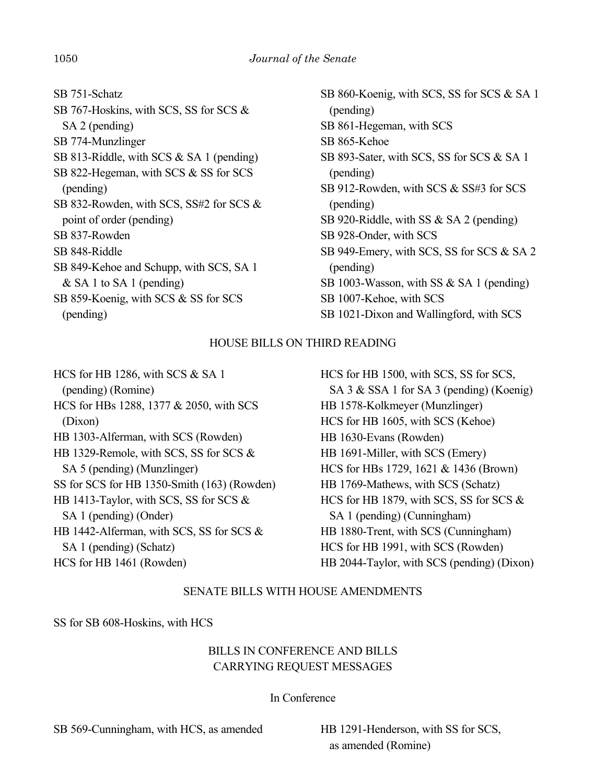SB 751-Schatz SB 767-Hoskins, with SCS, SS for SCS & SA 2 (pending) SB 774-Munzlinger SB 813-Riddle, with SCS & SA 1 (pending) SB 822-Hegeman, with SCS & SS for SCS (pending) SB 832-Rowden, with SCS, SS#2 for SCS & point of order (pending) SB 837-Rowden SB 848-Riddle SB 849-Kehoe and Schupp, with SCS, SA 1 & SA 1 to SA 1 (pending) SB 859-Koenig, with SCS & SS for SCS (pending)

SB 860-Koenig, with SCS, SS for SCS & SA 1 (pending) SB 861-Hegeman, with SCS SB 865-Kehoe SB 893-Sater, with SCS, SS for SCS & SA 1 (pending) SB 912-Rowden, with SCS & SS#3 for SCS (pending) SB 920-Riddle, with SS & SA 2 (pending) SB 928-Onder, with SCS SB 949-Emery, with SCS, SS for SCS & SA 2 (pending) SB 1003-Wasson, with SS & SA 1 (pending) SB 1007-Kehoe, with SCS SB 1021-Dixon and Wallingford, with SCS

### HOUSE BILLS ON THIRD READING

HCS for HB 1286, with SCS & SA 1 (pending) (Romine) HCS for HBs 1288, 1377 & 2050, with SCS (Dixon) HB 1303-Alferman, with SCS (Rowden) HB 1329-Remole, with SCS, SS for SCS & SA 5 (pending) (Munzlinger) SS for SCS for HB 1350-Smith (163) (Rowden) HB 1413-Taylor, with SCS, SS for SCS & SA 1 (pending) (Onder) HB 1442-Alferman, with SCS, SS for SCS & SA 1 (pending) (Schatz) HCS for HB 1461 (Rowden)

HCS for HB 1500, with SCS, SS for SCS, SA 3 & SSA 1 for SA 3 (pending) (Koenig) HB 1578-Kolkmeyer (Munzlinger) HCS for HB 1605, with SCS (Kehoe) HB 1630-Evans (Rowden) HB 1691-Miller, with SCS (Emery) HCS for HBs 1729, 1621 & 1436 (Brown) HB 1769-Mathews, with SCS (Schatz) HCS for HB 1879, with SCS, SS for SCS & SA 1 (pending) (Cunningham) HB 1880-Trent, with SCS (Cunningham) HCS for HB 1991, with SCS (Rowden) HB 2044-Taylor, with SCS (pending) (Dixon)

### SENATE BILLS WITH HOUSE AMENDMENTS

SS for SB 608-Hoskins, with HCS

# BILLS IN CONFERENCE AND BILLS CARRYING REQUEST MESSAGES

### In Conference

SB 569-Cunningham, with HCS, as amended HB 1291-Henderson, with SS for SCS,

as amended (Romine)